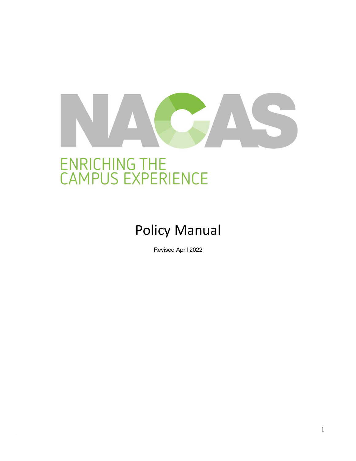# ENRICHING THE<br>CAMPUS EXPERIENCE

Policy Manual

Revised April 2022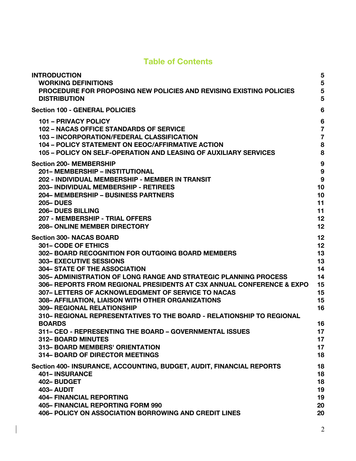# **Table of Contents**

| <b>INTRODUCTION</b>                                                                                                                                                                                                                                                                                                                                                                                                                                                                                                                                                                                                                                                                                                                                      | 5                                                                                      |
|----------------------------------------------------------------------------------------------------------------------------------------------------------------------------------------------------------------------------------------------------------------------------------------------------------------------------------------------------------------------------------------------------------------------------------------------------------------------------------------------------------------------------------------------------------------------------------------------------------------------------------------------------------------------------------------------------------------------------------------------------------|----------------------------------------------------------------------------------------|
| <b>WORKING DEFINITIONS</b>                                                                                                                                                                                                                                                                                                                                                                                                                                                                                                                                                                                                                                                                                                                               | 5                                                                                      |
| <b>PROCEDURE FOR PROPOSING NEW POLICIES AND REVISING EXISTING POLICIES</b>                                                                                                                                                                                                                                                                                                                                                                                                                                                                                                                                                                                                                                                                               | 5                                                                                      |
| <b>DISTRIBUTION</b>                                                                                                                                                                                                                                                                                                                                                                                                                                                                                                                                                                                                                                                                                                                                      | 5                                                                                      |
| <b>Section 100 - GENERAL POLICIES</b>                                                                                                                                                                                                                                                                                                                                                                                                                                                                                                                                                                                                                                                                                                                    | 6                                                                                      |
| <b>101 - PRIVACY POLICY</b>                                                                                                                                                                                                                                                                                                                                                                                                                                                                                                                                                                                                                                                                                                                              | $6\phantom{1}6$                                                                        |
| 102 - NACAS OFFICE STANDARDS OF SERVICE                                                                                                                                                                                                                                                                                                                                                                                                                                                                                                                                                                                                                                                                                                                  | $\overline{7}$                                                                         |
| 103 - INCORPORATION/FEDERAL CLASSIFICATION                                                                                                                                                                                                                                                                                                                                                                                                                                                                                                                                                                                                                                                                                                               | $\overline{7}$                                                                         |
| <b>104 - POLICY STATEMENT ON EEOC/AFFIRMATIVE ACTION</b>                                                                                                                                                                                                                                                                                                                                                                                                                                                                                                                                                                                                                                                                                                 | 8                                                                                      |
| 105 - POLICY ON SELF-OPERATION AND LEASING OF AUXILIARY SERVICES                                                                                                                                                                                                                                                                                                                                                                                                                                                                                                                                                                                                                                                                                         | 8                                                                                      |
| <b>Section 200- MEMBERSHIP</b>                                                                                                                                                                                                                                                                                                                                                                                                                                                                                                                                                                                                                                                                                                                           | 9                                                                                      |
| 201- MEMBERSHIP - INSTITUTIONAL                                                                                                                                                                                                                                                                                                                                                                                                                                                                                                                                                                                                                                                                                                                          | 9                                                                                      |
| 202 - INDIVIDUAL MEMBERSHIP - MEMBER IN TRANSIT                                                                                                                                                                                                                                                                                                                                                                                                                                                                                                                                                                                                                                                                                                          | 9                                                                                      |
| 203- INDIVIDUAL MEMBERSHIP - RETIREES                                                                                                                                                                                                                                                                                                                                                                                                                                                                                                                                                                                                                                                                                                                    | 10                                                                                     |
| <b>204- MEMBERSHIP - BUSINESS PARTNERS</b>                                                                                                                                                                                                                                                                                                                                                                                                                                                                                                                                                                                                                                                                                                               | 10                                                                                     |
| <b>205-DUES</b>                                                                                                                                                                                                                                                                                                                                                                                                                                                                                                                                                                                                                                                                                                                                          | 11                                                                                     |
| <b>206-DUES BILLING</b>                                                                                                                                                                                                                                                                                                                                                                                                                                                                                                                                                                                                                                                                                                                                  | 11                                                                                     |
| 207 - MEMBERSHIP - TRIAL OFFERS                                                                                                                                                                                                                                                                                                                                                                                                                                                                                                                                                                                                                                                                                                                          | 12                                                                                     |
| <b>208- ONLINE MEMBER DIRECTORY</b>                                                                                                                                                                                                                                                                                                                                                                                                                                                                                                                                                                                                                                                                                                                      | 12                                                                                     |
| <b>Section 300- NACAS BOARD</b><br><b>301– CODE OF ETHICS</b><br>302-BOARD RECOGNITION FOR OUTGOING BOARD MEMBERS<br><b>303- EXECUTIVE SESSIONS</b><br><b>304- STATE OF THE ASSOCIATION</b><br>305- ADMINISTRATION OF LONG RANGE AND STRATEGIC PLANNING PROCESS<br>306– REPORTS FROM REGIONAL PRESIDENTS AT C3X ANNUAL CONFERENCE & EXPO<br>307- LETTERS OF ACKNOWLEDGMENT OF SERVICE TO NACAS<br>308- AFFILIATION, LIAISON WITH OTHER ORGANIZATIONS<br><b>309- REGIONAL RELATIONSHIP</b><br>310– REGIONAL REPRESENTATIVES TO THE BOARD - RELATIONSHIP TO REGIONAL<br><b>BOARDS</b><br>311- CEO - REPRESENTING THE BOARD - GOVERNMENTAL ISSUES<br><b>312- BOARD MINUTES</b><br>313- BOARD MEMBERS' ORIENTATION<br><b>314- BOARD OF DIRECTOR MEETINGS</b> | 12<br>12<br>13<br>13<br>14<br>14<br>15<br>15<br>15<br>16<br>16<br>17<br>17<br>17<br>18 |
| Section 400- INSURANCE, ACCOUNTING, BUDGET, AUDIT, FINANCIAL REPORTS                                                                                                                                                                                                                                                                                                                                                                                                                                                                                                                                                                                                                                                                                     | 18                                                                                     |
| <b>401-INSURANCE</b>                                                                                                                                                                                                                                                                                                                                                                                                                                                                                                                                                                                                                                                                                                                                     | 18                                                                                     |
| 402-BUDGET                                                                                                                                                                                                                                                                                                                                                                                                                                                                                                                                                                                                                                                                                                                                               | 18                                                                                     |
| 403-AUDIT                                                                                                                                                                                                                                                                                                                                                                                                                                                                                                                                                                                                                                                                                                                                                | 19                                                                                     |
| <b>404- FINANCIAL REPORTING</b>                                                                                                                                                                                                                                                                                                                                                                                                                                                                                                                                                                                                                                                                                                                          | 19                                                                                     |
| <b>405- FINANCIAL REPORTING FORM 990</b>                                                                                                                                                                                                                                                                                                                                                                                                                                                                                                                                                                                                                                                                                                                 | 20                                                                                     |
| <b>406- POLICY ON ASSOCIATION BORROWING AND CREDIT LINES</b>                                                                                                                                                                                                                                                                                                                                                                                                                                                                                                                                                                                                                                                                                             | 20                                                                                     |

 $\overline{\phantom{a}}$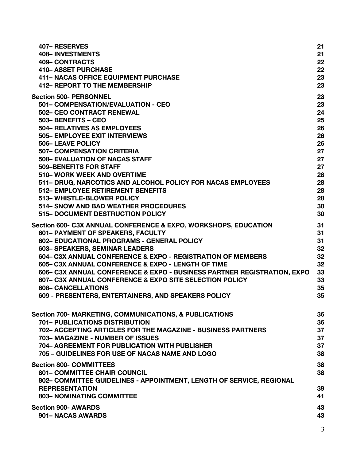| <b>407- RESERVES</b>                                                                                                                                                                                       | 21                   |
|------------------------------------------------------------------------------------------------------------------------------------------------------------------------------------------------------------|----------------------|
| <b>408-INVESTMENTS</b>                                                                                                                                                                                     | 21                   |
| <b>409- CONTRACTS</b>                                                                                                                                                                                      | 22                   |
| <b>410- ASSET PURCHASE</b>                                                                                                                                                                                 | 22                   |
| <b>411- NACAS OFFICE EQUIPMENT PURCHASE</b>                                                                                                                                                                | 23                   |
| <b>412- REPORT TO THE MEMBERSHIP</b>                                                                                                                                                                       | 23                   |
| <b>Section 500- PERSONNEL</b>                                                                                                                                                                              | 23                   |
| 501- COMPENSATION/EVALUATION - CEO                                                                                                                                                                         | 23                   |
| <b>502- CEO CONTRACT RENEWAL</b>                                                                                                                                                                           | 24                   |
| 503-BENEFITS-CEO                                                                                                                                                                                           | 25                   |
| <b>504- RELATIVES AS EMPLOYEES</b>                                                                                                                                                                         | 26                   |
| <b>505- EMPLOYEE EXIT INTERVIEWS</b>                                                                                                                                                                       | 26                   |
| 506-LEAVE POLICY                                                                                                                                                                                           | 26                   |
| <b>507- COMPENSATION CRITERIA</b>                                                                                                                                                                          | 27                   |
| <b>508- EVALUATION OF NACAS STAFF</b>                                                                                                                                                                      | 27                   |
| <b>509-BENEFITS FOR STAFF</b>                                                                                                                                                                              | 27                   |
| 510- WORK WEEK AND OVERTIME                                                                                                                                                                                | 28                   |
| 511- DRUG, NARCOTICS AND ALCOHOL POLICY FOR NACAS EMPLOYEES                                                                                                                                                | 28                   |
| <b>512- EMPLOYEE RETIREMENT BENEFITS</b>                                                                                                                                                                   | 28                   |
| 513-WHISTLE-BLOWER POLICY                                                                                                                                                                                  | 28                   |
| 514– SNOW AND BAD WEATHER PROCEDURES                                                                                                                                                                       | 30                   |
| 515- DOCUMENT DESTRUCTION POLICY                                                                                                                                                                           | 30                   |
| Section 600- C3X ANNUAL CONFERENCE & EXPO, WORKSHOPS, EDUCATION                                                                                                                                            | 31                   |
| 601- PAYMENT OF SPEAKERS, FACULTY                                                                                                                                                                          | 31                   |
| 602- EDUCATIONAL PROGRAMS - GENERAL POLICY                                                                                                                                                                 | 31                   |
| 603- SPEAKERS, SEMINAR LEADERS                                                                                                                                                                             | 32                   |
| 604– C3X ANNUAL CONFERENCE & EXPO - REGISTRATION OF MEMBERS                                                                                                                                                | 32                   |
| 605– C3X ANNUAL CONFERENCE & EXPO - LENGTH OF TIME                                                                                                                                                         | 32                   |
| 606- C3X ANNUAL CONFERENCE & EXPO - BUSINESS PARTNER REGISTRATION, EXPO                                                                                                                                    | 33                   |
| 607– C3X ANNUAL CONFERENCE & EXPO SITE SELECTION POLICY                                                                                                                                                    | 33                   |
| <b>608- CANCELLATIONS</b>                                                                                                                                                                                  | 35                   |
| 609 - PRESENTERS, ENTERTAINERS, AND SPEAKERS POLICY                                                                                                                                                        | 35                   |
| Section 700- MARKETING, COMMUNICATIONS, & PUBLICATIONS                                                                                                                                                     | 36                   |
| <b>701- PUBLICATIONS DISTRIBUTION</b>                                                                                                                                                                      | 36                   |
| 702– ACCEPTING ARTICLES FOR THE MAGAZINE - BUSINESS PARTNERS                                                                                                                                               | 37                   |
| 703-MAGAZINE - NUMBER OF ISSUES                                                                                                                                                                            | 37                   |
| 704- AGREEMENT FOR PUBLICATION WITH PUBLISHER                                                                                                                                                              | 37                   |
| 705 - GUIDELINES FOR USE OF NACAS NAME AND LOGO                                                                                                                                                            | 38                   |
| <b>Section 800- COMMITTEES</b><br><b>801– COMMITTEE CHAIR COUNCIL</b><br>802– COMMITTEE GUIDELINES - APPOINTMENT, LENGTH OF SERVICE, REGIONAL<br><b>REPRESENTATION</b><br><b>803- NOMINATING COMMITTEE</b> | 38<br>38<br>39<br>41 |
| <b>Section 900- AWARDS</b>                                                                                                                                                                                 | 43                   |
| 901 – NACAS AWARDS                                                                                                                                                                                         | 43                   |
|                                                                                                                                                                                                            | 3                    |

 $\begin{array}{c} \rule{0pt}{2.5ex} \rule{0pt}{2.5ex} \rule{0pt}{2.5ex} \rule{0pt}{2.5ex} \rule{0pt}{2.5ex} \rule{0pt}{2.5ex} \rule{0pt}{2.5ex} \rule{0pt}{2.5ex} \rule{0pt}{2.5ex} \rule{0pt}{2.5ex} \rule{0pt}{2.5ex} \rule{0pt}{2.5ex} \rule{0pt}{2.5ex} \rule{0pt}{2.5ex} \rule{0pt}{2.5ex} \rule{0pt}{2.5ex} \rule{0pt}{2.5ex} \rule{0pt}{2.5ex} \rule{0pt}{2.5ex} \rule{0$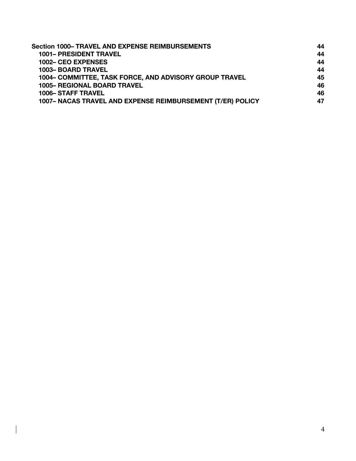| <b>Section 1000- TRAVEL AND EXPENSE REIMBURSEMENTS</b>     | 44 |
|------------------------------------------------------------|----|
| <b>1001- PRESIDENT TRAVEL</b>                              | 44 |
| <b>1002– CEO EXPENSES</b>                                  | 44 |
| <b>1003- BOARD TRAVEL</b>                                  | 44 |
| 1004– COMMITTEE, TASK FORCE, AND ADVISORY GROUP TRAVEL     | 45 |
| <b>1005- REGIONAL BOARD TRAVEL</b>                         | 46 |
| <b>1006– STAFF TRAVEL</b>                                  | 46 |
| 1007- NACAS TRAVEL AND EXPENSE REIMBURSEMENT (T/ER) POLICY | 47 |

 $\begin{array}{c} \rule{0pt}{2.5ex} \rule{0pt}{2.5ex} \rule{0pt}{2.5ex} \rule{0pt}{2.5ex} \rule{0pt}{2.5ex} \rule{0pt}{2.5ex} \rule{0pt}{2.5ex} \rule{0pt}{2.5ex} \rule{0pt}{2.5ex} \rule{0pt}{2.5ex} \rule{0pt}{2.5ex} \rule{0pt}{2.5ex} \rule{0pt}{2.5ex} \rule{0pt}{2.5ex} \rule{0pt}{2.5ex} \rule{0pt}{2.5ex} \rule{0pt}{2.5ex} \rule{0pt}{2.5ex} \rule{0pt}{2.5ex} \rule{0$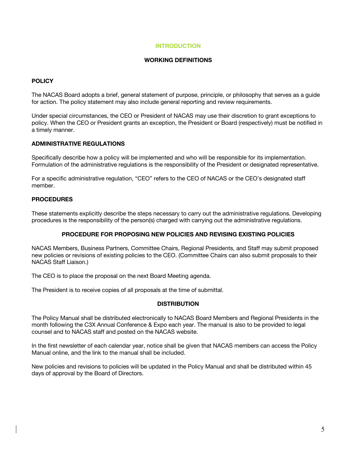# **INTRODUCTION**

### **WORKING DEFINITIONS**

# **POLICY**

The NACAS Board adopts a brief, general statement of purpose, principle, or philosophy that serves as a guide for action. The policy statement may also include general reporting and review requirements.

Under special circumstances, the CEO or President of NACAS may use their discretion to grant exceptions to policy. When the CEO or President grants an exception, the President or Board (respectively) must be notified in a timely manner.

# **ADMINISTRATIVE REGULATIONS**

Specifically describe how a policy will be implemented and who will be responsible for its implementation. Formulation of the administrative regulations is the responsibility of the President or designated representative.

For a specific administrative regulation, "CEO" refers to the CEO of NACAS or the CEO's designated staff member.

# **PROCEDURES**

These statements explicitly describe the steps necessary to carry out the administrative regulations. Developing procedures is the responsibility of the person(s) charged with carrying out the administrative regulations.

### **PROCEDURE FOR PROPOSING NEW POLICIES AND REVISING EXISTING POLICIES**

NACAS Members, Business Partners, Committee Chairs, Regional Presidents, and Staff may submit proposed new policies or revisions of existing policies to the CEO. (Committee Chairs can also submit proposals to their NACAS Staff Liaison.)

The CEO is to place the proposal on the next Board Meeting agenda.

The President is to receive copies of all proposals at the time of submittal.

### **DISTRIBUTION**

The Policy Manual shall be distributed electronically to NACAS Board Members and Regional Presidents in the month following the C3X Annual Conference & Expo each year. The manual is also to be provided to legal counsel and to NACAS staff and posted on the NACAS website.

In the first newsletter of each calendar year, notice shall be given that NACAS members can access the Policy Manual online, and the link to the manual shall be included.

New policies and revisions to policies will be updated in the Policy Manual and shall be distributed within 45 days of approval by the Board of Directors.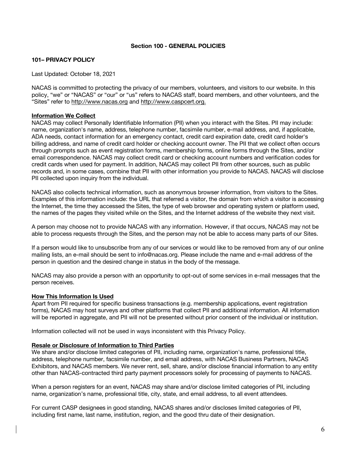# **Section 100 - GENERAL POLICIES**

# **101– PRIVACY POLICY**

Last Updated: October 18, 2021

NACAS is committed to protecting the privacy of our members, volunteers, and visitors to our website. In this policy, "we" or "NACAS" or "our" or "us" refers to NACAS staff, board members, and other volunteers, and the "Sites" refer to http://www.nacas.org and http://www.caspcert.org.

### **Information We Collect**

NACAS may collect Personally Identifiable Information (PII) when you interact with the Sites. PII may include: name, organization's name, address, telephone number, facsimile number, e-mail address, and, if applicable, ADA needs, contact information for an emergency contact, credit card expiration date, credit card holder's billing address, and name of credit card holder or checking account owner. The PII that we collect often occurs through prompts such as event registration forms, membership forms, online forms through the Sites, and/or email correspondence. NACAS may collect credit card or checking account numbers and verification codes for credit cards when used for payment. In addition, NACAS may collect PII from other sources, such as public records and, in some cases, combine that PII with other information you provide to NACAS. NACAS will disclose PII collected upon inquiry from the individual.

NACAS also collects technical information, such as anonymous browser information, from visitors to the Sites. Examples of this information include: the URL that referred a visitor, the domain from which a visitor is accessing the Internet, the time they accessed the Sites, the type of web browser and operating system or platform used, the names of the pages they visited while on the Sites, and the Internet address of the website they next visit.

A person may choose not to provide NACAS with any information. However, if that occurs, NACAS may not be able to process requests through the Sites, and the person may not be able to access many parts of our Sites.

If a person would like to unsubscribe from any of our services or would like to be removed from any of our online mailing lists, an e-mail should be sent to info@nacas.org. Please include the name and e-mail address of the person in question and the desired change in status in the body of the message.

NACAS may also provide a person with an opportunity to opt-out of some services in e-mail messages that the person receives.

### **How This Information Is Used**

Apart from PII required for specific business transactions (e.g. membership applications, event registration forms), NACAS may host surveys and other platforms that collect PII and additional information. All information will be reported in aggregate, and PII will not be presented without prior consent of the individual or institution.

Information collected will not be used in ways inconsistent with this Privacy Policy.

### **Resale or Disclosure of Information to Third Parties**

We share and/or disclose limited categories of PII, including name, organization's name, professional title, address, telephone number, facsimile number, and email address, with NACAS Business Partners, NACAS Exhibitors, and NACAS members. We never rent, sell, share, and/or disclose financial information to any entity other than NACAS-contracted third party payment processors solely for processing of payments to NACAS.

When a person registers for an event, NACAS may share and/or disclose limited categories of PII, including name, organization's name, professional title, city, state, and email address, to all event attendees.

For current CASP designees in good standing, NACAS shares and/or discloses limited categories of PII, including first name, last name, institution, region, and the good thru date of their designation.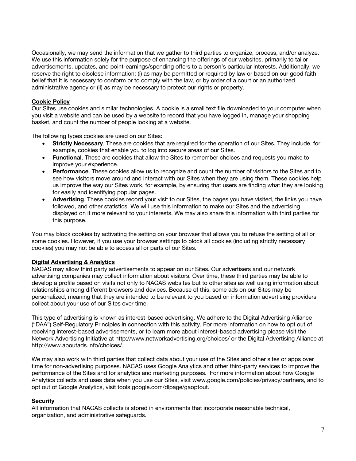Occasionally, we may send the information that we gather to third parties to organize, process, and/or analyze. We use this information solely for the purpose of enhancing the offerings of our websites, primarily to tailor advertisements, updates, and point-earnings/spending offers to a person's particular interests. Additionally, we reserve the right to disclose information: (i) as may be permitted or required by law or based on our good faith belief that it is necessary to conform or to comply with the law, or by order of a court or an authorized administrative agency or (ii) as may be necessary to protect our rights or property.

# **Cookie Policy**

Our Sites use cookies and similar technologies. A cookie is a small text file downloaded to your computer when you visit a website and can be used by a website to record that you have logged in, manage your shopping basket, and count the number of people looking at a website.

The following types cookies are used on our Sites:

- **Strictly Necessary**. These are cookies that are required for the operation of our Sites. They include, for example, cookies that enable you to log into secure areas of our Sites.
- **Functional**. These are cookies that allow the Sites to remember choices and requests you make to improve your experience.
- **Performance**. These cookies allow us to recognize and count the number of visitors to the Sites and to see how visitors move around and interact with our Sites when they are using them. These cookies help us improve the way our Sites work, for example, by ensuring that users are finding what they are looking for easily and identifying popular pages.
- **Advertising**. These cookies record your visit to our Sites, the pages you have visited, the links you have followed, and other statistics. We will use this information to make our Sites and the advertising displayed on it more relevant to your interests. We may also share this information with third parties for this purpose.

You may block cookies by activating the setting on your browser that allows you to refuse the setting of all or some cookies. However, if you use your browser settings to block all cookies (including strictly necessary cookies) you may not be able to access all or parts of our Sites.

# **Digital Advertising & Analytics**

NACAS may allow third party advertisements to appear on our Sites. Our advertisers and our network advertising companies may collect information about visitors. Over time, these third parties may be able to develop a profile based on visits not only to NACAS websites but to other sites as well using information about relationships among different browsers and devices. Because of this, some ads on our Sites may be personalized, meaning that they are intended to be relevant to you based on information advertising providers collect about your use of our Sites over time.

This type of advertising is known as interest-based advertising. We adhere to the Digital Advertising Alliance ("DAA") Self-Regulatory Principles in connection with this activity. For more information on how to opt out of receiving interest-based advertisements, or to learn more about interest-based advertising please visit the Network Advertising Initiative at http://www.networkadvertising.org/choices/ or the Digital Advertising Alliance at http://www.aboutads.info/choices/.

We may also work with third parties that collect data about your use of the Sites and other sites or apps over time for non-advertising purposes. NACAS uses Google Analytics and other third-party services to improve the performance of the Sites and for analytics and marketing purposes. For more information about how Google Analytics collects and uses data when you use our Sites, visit www.google.com/policies/privacy/partners, and to opt out of Google Analytics, visit tools.google.com/dlpage/gaoptout.

# **Security**

All information that NACAS collects is stored in environments that incorporate reasonable technical, organization, and administrative safeguards.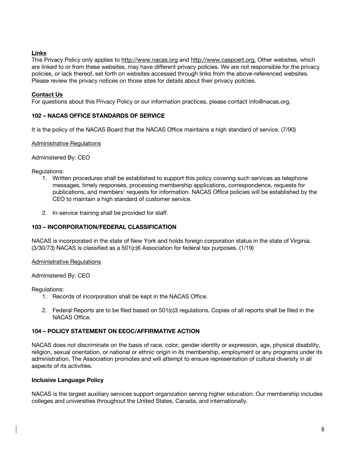# **Links**

This Privacy Policy only applies to http://www.nacas.org and http://www.caspcert.org. Other websites, which are linked to or from these websites, may have different privacy policies. We are not responsible for the privacy policies, or lack thereof, set forth on websites accessed through links from the above-referenced websites. Please review the privacy notices on those sites for details about their privacy policies.

# **Contact Us**

For questions about this Privacy Policy or our information practices, please contact info@nacas.org.

# **102 – NACAS OFFICE STANDARDS OF SERVICE**

It is the policy of the NACAS Board that the NACAS Office maintains a high standard of service. (7/90)

# Administrative Regulations

Administered By: CEO

Regulations:

- 1. Written procedures shall be established to support this policy covering such services as telephone messages, timely responses, processing membership applications, correspondence, requests for publications, and members' requests for information. NACAS Office policies will be established by the CEO to maintain a high standard of customer service.
- 2. In-service training shall be provided for staff.

# **103 – INCORPORATION/FEDERAL CLASSIFICATION**

NACAS is incorporated in the state of New York and holds foreign corporation status in the state of Virginia. (3/30/73) NACAS is classified as a 501(c)6 Association for federal tax purposes. (1/19)

### Administrative Regulations

### Administered By: CEO

Regulations:

- 1. Records of incorporation shall be kept in the NACAS Office.
- 2. Federal Reports are to be filed based on 501(c)3 regulations. Copies of all reports shall be filed in the NACAS Office.

# **104 – POLICY STATEMENT ON EEOC/AFFIRMATIVE ACTION**

NACAS does not discriminate on the basis of race, color, gender identity or expression, age, physical disability, religion, sexual orientation, or national or ethnic origin in its membership, employment or any programs under its administration. The Association promotes and will attempt to ensure representation of cultural diversity in all aspects of its activities.

### **Inclusive Language Policy**

NACAS is the largest auxiliary services support organization serving higher education. Our membership includes colleges and universities throughout the United States, Canada, and internationally.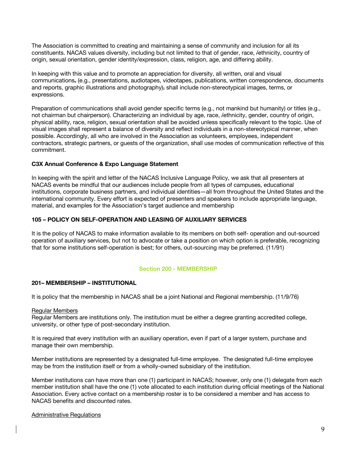The Association is committed to creating and maintaining a sense of community and inclusion for all its constituents. NACAS values diversity, including but not limited to that of gender, race, /ethnicity, country of origin, sexual orientation, gender identity/expression, class, religion, age, and differing ability.

In keeping with this value and to promote an appreciation for diversity, all written, oral and visual communications, (e.g., presentations, audiotapes, videotapes, publications, written correspondence, documents and reports, graphic illustrations and photography), shall include non-stereotypical images, terms, or expressions.

Preparation of communications shall avoid gender specific terms (e.g., not mankind but humanity) or titles (e.g., not chairman but chairperson). Characterizing an individual by age, race, /ethnicity, gender, country of origin, physical ability, race, religion, sexual orientation shall be avoided unless specifically relevant to the topic. Use of visual images shall represent a balance of diversity and reflect individuals in a non-stereotypical manner, when possible. Accordingly, all who are involved in the Association as volunteers, employees, independent contractors, strategic partners, or guests of the organization, shall use modes of communication reflective of this commitment.

# **C3X Annual Conference & Expo Language Statement**

In keeping with the spirit and letter of the NACAS Inclusive Language Policy, we ask that all presenters at NACAS events be mindful that our audiences include people from all types of campuses, educational institutions, corporate business partners, and individual identities—all from throughout the United States and the international community. Every effort is expected of presenters and speakers to include appropriate language, material, and examples for the Association's target audience and membership

# **105 – POLICY ON SELF-OPERATION AND LEASING OF AUXILIARY SERVICES**

It is the policy of NACAS to make information available to its members on both self- operation and out-sourced operation of auxiliary services, but not to advocate or take a position on which option is preferable, recognizing that for some institutions self-operation is best; for others, out-sourcing may be preferred. (11/91)

# **Section 200 - MEMBERSHIP**

# **201– MEMBERSHIP – INSTITUTIONAL**

It is policy that the membership in NACAS shall be a joint National and Regional membership. (11/9/76)

# Regular Members

Regular Members are institutions only. The institution must be either a degree granting accredited college, university, or other type of post-secondary institution.

It is required that every institution with an auxiliary operation, even if part of a larger system, purchase and manage their own membership.

Member institutions are represented by a designated full-time employee. The designated full-time employee may be from the institution itself or from a wholly-owned subsidiary of the institution.

Member institutions can have more than one (1) participant in NACAS; however, only one (1) delegate from each member institution shall have the one (1) vote allocated to each institution during official meetings of the National Association. Every active contact on a membership roster is to be considered a member and has access to NACAS benefits and discounted rates.

# Administrative Regulations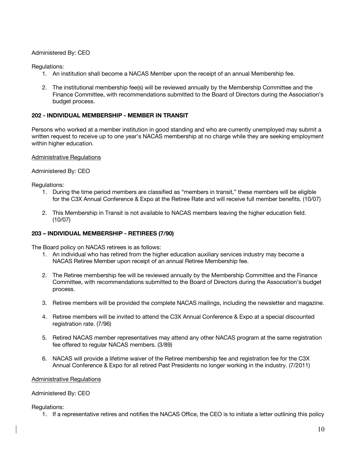# Administered By: CEO

Regulations:

- 1. An institution shall become a NACAS Member upon the receipt of an annual Membership fee.
- 2. The institutional membership fee(s) will be reviewed annually by the Membership Committee and the Finance Committee, with recommendations submitted to the Board of Directors during the Association's budget process.

# **202 - INDIVIDUAL MEMBERSHIP - MEMBER IN TRANSIT**

Persons who worked at a member institution in good standing and who are currently unemployed may submit a written request to receive up to one year's NACAS membership at no charge while they are seeking employment within higher education.

### Administrative Regulations

Administered By: CEO

Regulations:

- 1. During the time period members are classified as "members in transit," these members will be eligible for the C3X Annual Conference & Expo at the Retiree Rate and will receive full member benefits. (10/07)
- 2. This Membership in Transit is not available to NACAS members leaving the higher education field. (10/07)

### **203 – INDIVIDUAL MEMBERSHIP - RETIREES (7/90)**

The Board policy on NACAS retirees is as follows:

- 1. An individual who has retired from the higher education auxiliary services industry may become a NACAS Retiree Member upon receipt of an annual Retiree Membership fee.
- 2. The Retiree membership fee will be reviewed annually by the Membership Committee and the Finance Committee, with recommendations submitted to the Board of Directors during the Association's budget process.
- 3. Retiree members will be provided the complete NACAS mailings, including the newsletter and magazine.
- 4. Retiree members will be invited to attend the C3X Annual Conference & Expo at a special discounted registration rate. (7/96)
- 5. Retired NACAS member representatives may attend any other NACAS program at the same registration fee offered to regular NACAS members. (3/89)
- 6. NACAS will provide a lifetime waiver of the Retiree membership fee and registration fee for the C3X Annual Conference & Expo for all retired Past Presidents no longer working in the industry. (7/2011)

### Administrative Regulations

### Administered By: CEO

Regulations:

1. If a representative retires and notifies the NACAS Office, the CEO is to initiate a letter outlining this policy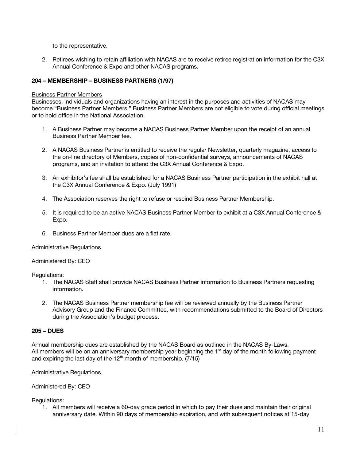to the representative.

2. Retirees wishing to retain affiliation with NACAS are to receive retiree registration information for the C3X Annual Conference & Expo and other NACAS programs.

# **204 – MEMBERSHIP – BUSINESS PARTNERS (1/97)**

### Business Partner Members

Businesses, individuals and organizations having an interest in the purposes and activities of NACAS may become "Business Partner Members." Business Partner Members are not eligible to vote during official meetings or to hold office in the National Association.

- 1. A Business Partner may become a NACAS Business Partner Member upon the receipt of an annual Business Partner Member fee.
- 2. A NACAS Business Partner is entitled to receive the regular Newsletter, quarterly magazine, access to the on-line directory of Members, copies of non-confidential surveys, announcements of NACAS programs, and an invitation to attend the C3X Annual Conference & Expo.
- 3. An exhibitor's fee shall be established for a NACAS Business Partner participation in the exhibit hall at the C3X Annual Conference & Expo. (July 1991)
- 4. The Association reserves the right to refuse or rescind Business Partner Membership.
- 5. It is required to be an active NACAS Business Partner Member to exhibit at a C3X Annual Conference & Expo.
- 6. Business Partner Member dues are a flat rate.

### Administrative Regulations

### Administered By: CEO

Regulations:

- 1. The NACAS Staff shall provide NACAS Business Partner information to Business Partners requesting information.
- 2. The NACAS Business Partner membership fee will be reviewed annually by the Business Partner Advisory Group and the Finance Committee, with recommendations submitted to the Board of Directors during the Association's budget process.

# **205 – DUES**

Annual membership dues are established by the NACAS Board as outlined in the NACAS By-Laws. All members will be on an anniversary membership year beginning the  $1<sup>st</sup>$  day of the month following payment and expiring the last day of the  $12<sup>th</sup>$  month of membership. (7/15)

### Administrative Regulations

Administered By: CEO

Regulations:

1. All members will receive a 60-day grace period in which to pay their dues and maintain their original anniversary date. Within 90 days of membership expiration, and with subsequent notices at 15-day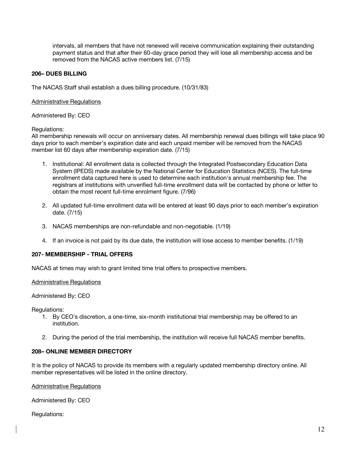intervals, all members that have not renewed will receive communication explaining their outstanding payment status and that after their 60-day grace period they will lose all membership access and be removed from the NACAS active members list. (7/15)

# **206– DUES BILLING**

The NACAS Staff shall establish a dues billing procedure. (10/31/83)

### Administrative Regulations

Administered By: CEO

Regulations:

All membership renewals will occur on anniversary dates. All membership renewal dues billings will take place 90 days prior to each member's expiration date and each unpaid member will be removed from the NACAS member list 60 days after membership expiration date. (7/15)

- 1. Institutional: All enrollment data is collected through the Integrated Postsecondary Education Data System (IPEDS) made available by the National Center for Education Statistics (NCES). The full-time enrollment data captured here is used to determine each institution's annual membership fee. The registrars at institutions with unverified full-time enrollment data will be contacted by phone or letter to obtain the most recent full-time enrolment figure. (7/96)
- 2. All updated full-time enrollment data will be entered at least 90 days prior to each member's expiration date. (7/15)
- 3. NACAS memberships are non-refundable and non-negotiable. (1/19)
- 4. If an invoice is not paid by its due date, the institution will lose access to member benefits. (1/19)

# **207- MEMBERSHIP - TRIAL OFFERS**

NACAS at times may wish to grant limited time trial offers to prospective members.

### Administrative Regulations

Administered By: CEO

Regulations:

- 1. By CEO's discretion, a one-time, six-month institutional trial membership may be offered to an institution.
- 2. During the period of the trial membership, the institution will receive full NACAS member benefits.

### **208– ONLINE MEMBER DIRECTORY**

It is the policy of NACAS to provide its members with a regularly updated membership directory online. All member representatives will be listed in the online directory.

Administrative Regulations

Administered By: CEO

Regulations: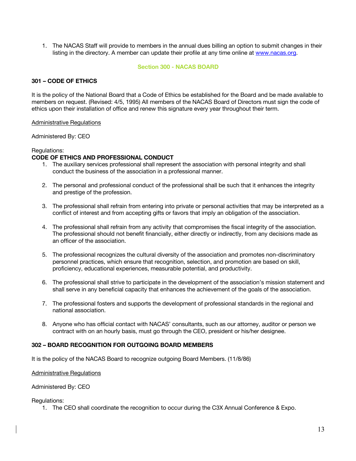1. The NACAS Staff will provide to members in the annual dues billing an option to submit changes in their listing in the directory. A member can update their profile at any time online at www.nacas.org.

### **Section 300 - NACAS BOARD**

# **301 – CODE OF ETHICS**

It is the policy of the National Board that a Code of Ethics be established for the Board and be made available to members on request. (Revised: 4/5, 1995) All members of the NACAS Board of Directors must sign the code of ethics upon their installation of office and renew this signature every year throughout their term.

### Administrative Regulations

Administered By: CEO

### Regulations:

# **CODE OF ETHICS AND PROFESSIONAL CONDUCT**

- 1. The auxiliary services professional shall represent the association with personal integrity and shall conduct the business of the association in a professional manner.
- 2. The personal and professional conduct of the professional shall be such that it enhances the integrity and prestige of the profession.
- 3. The professional shall refrain from entering into private or personal activities that may be interpreted as a conflict of interest and from accepting gifts or favors that imply an obligation of the association.
- 4. The professional shall refrain from any activity that compromises the fiscal integrity of the association. The professional should not benefit financially, either directly or indirectly, from any decisions made as an officer of the association.
- 5. The professional recognizes the cultural diversity of the association and promotes non-discriminatory personnel practices, which ensure that recognition, selection, and promotion are based on skill, proficiency, educational experiences, measurable potential, and productivity.
- 6. The professional shall strive to participate in the development of the association's mission statement and shall serve in any beneficial capacity that enhances the achievement of the goals of the association.
- 7. The professional fosters and supports the development of professional standards in the regional and national association.
- 8. Anyone who has official contact with NACAS' consultants, such as our attorney, auditor or person we contract with on an hourly basis, must go through the CEO, president or his/her designee.

# **302 – BOARD RECOGNITION FOR OUTGOING BOARD MEMBERS**

It is the policy of the NACAS Board to recognize outgoing Board Members. (11/8/86)

### Administrative Regulations

### Administered By: CEO

Regulations:

1. The CEO shall coordinate the recognition to occur during the C3X Annual Conference & Expo.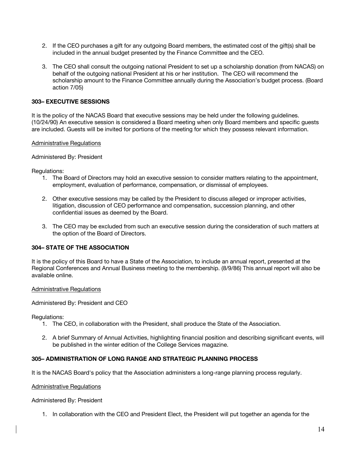- 2. If the CEO purchases a gift for any outgoing Board members, the estimated cost of the gift(s) shall be included in the annual budget presented by the Finance Committee and the CEO.
- 3. The CEO shall consult the outgoing national President to set up a scholarship donation (from NACAS) on behalf of the outgoing national President at his or her institution. The CEO will recommend the scholarship amount to the Finance Committee annually during the Association's budget process. (Board action 7/05)

# **303– EXECUTIVE SESSIONS**

It is the policy of the NACAS Board that executive sessions may be held under the following guidelines. (10/24/90) An executive session is considered a Board meeting when only Board members and specific guests are included. Guests will be invited for portions of the meeting for which they possess relevant information.

### Administrative Regulations

# Administered By: President

Regulations:

- 1. The Board of Directors may hold an executive session to consider matters relating to the appointment, employment, evaluation of performance, compensation, or dismissal of employees.
- 2. Other executive sessions may be called by the President to discuss alleged or improper activities, litigation, discussion of CEO performance and compensation, succession planning, and other confidential issues as deemed by the Board.
- 3. The CEO may be excluded from such an executive session during the consideration of such matters at the option of the Board of Directors.

# **304– STATE OF THE ASSOCIATION**

It is the policy of this Board to have a State of the Association, to include an annual report, presented at the Regional Conferences and Annual Business meeting to the membership. (8/9/86) This annual report will also be available online.

### Administrative Regulations

Administered By: President and CEO

Regulations:

- 1. The CEO, in collaboration with the President, shall produce the State of the Association.
- 2. A brief Summary of Annual Activities, highlighting financial position and describing significant events, will be published in the winter edition of the College Services magazine.

# **305– ADMINISTRATION OF LONG RANGE AND STRATEGIC PLANNING PROCESS**

It is the NACAS Board's policy that the Association administers a long-range planning process regularly.

### Administrative Regulations

Administered By: President

1. In collaboration with the CEO and President Elect, the President will put together an agenda for the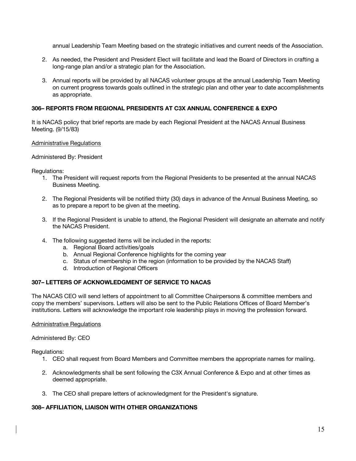annual Leadership Team Meeting based on the strategic initiatives and current needs of the Association.

- 2. As needed, the President and President Elect will facilitate and lead the Board of Directors in crafting a long-range plan and/or a strategic plan for the Association.
- 3. Annual reports will be provided by all NACAS volunteer groups at the annual Leadership Team Meeting on current progress towards goals outlined in the strategic plan and other year to date accomplishments as appropriate.

# **306– REPORTS FROM REGIONAL PRESIDENTS AT C3X ANNUAL CONFERENCE & EXPO**

It is NACAS policy that brief reports are made by each Regional President at the NACAS Annual Business Meeting. (9/15/83)

### Administrative Regulations

### Administered By: President

Regulations:

- 1. The President will request reports from the Regional Presidents to be presented at the annual NACAS Business Meeting.
- 2. The Regional Presidents will be notified thirty (30) days in advance of the Annual Business Meeting, so as to prepare a report to be given at the meeting.
- 3. If the Regional President is unable to attend, the Regional President will designate an alternate and notify the NACAS President.
- 4. The following suggested items will be included in the reports:
	- a. Regional Board activities/goals
	- b. Annual Regional Conference highlights for the coming year
	- c. Status of membership in the region (information to be provided by the NACAS Staff)
	- d. Introduction of Regional Officers

# **307– LETTERS OF ACKNOWLEDGMENT OF SERVICE TO NACAS**

The NACAS CEO will send letters of appointment to all Committee Chairpersons & committee members and copy the members' supervisors. Letters will also be sent to the Public Relations Offices of Board Member's institutions. Letters will acknowledge the important role leadership plays in moving the profession forward.

### Administrative Regulations

Administered By: CEO

Regulations:

- 1. CEO shall request from Board Members and Committee members the appropriate names for mailing.
- 2. Acknowledgments shall be sent following the C3X Annual Conference & Expo and at other times as deemed appropriate.
- 3. The CEO shall prepare letters of acknowledgment for the President's signature.

### **308– AFFILIATION, LIAISON WITH OTHER ORGANIZATIONS**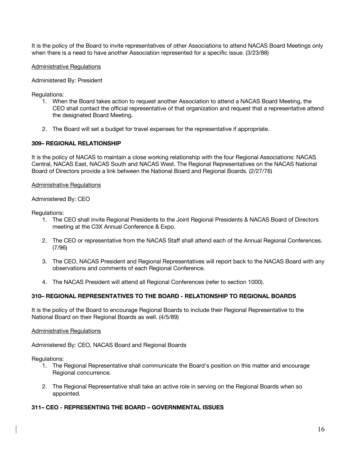It is the policy of the Board to invite representatives of other Associations to attend NACAS Board Meetings only when there is a need to have another Association represented for a specific issue. (3/23/88)

# Administrative Regulations

# Administered By: President

Regulations:

- 1. When the Board takes action to request another Association to attend a NACAS Board Meeting, the CEO shall contact the official representative of that organization and request that a representative attend the designated Board Meeting.
- 2. The Board will set a budget for travel expenses for the representative if appropriate.

# **309– REGIONAL RELATIONSHIP**

It is the policy of NACAS to maintain a close working relationship with the four Regional Associations: NACAS Central, NACAS East, NACAS South and NACAS West. The Regional Representatives on the NACAS National Board of Directors provide a link between the National Board and Regional Boards. (2/27/76)

### Administrative Regulations

Administered By: CEO

Regulations:

- 1. The CEO shall invite Regional Presidents to the Joint Regional Presidents & NACAS Board of Directors meeting at the C3X Annual Conference & Expo.
- 2. The CEO or representative from the NACAS Staff shall attend each of the Annual Regional Conferences. (7/96)
- 3. The CEO, NACAS President and Regional Representatives will report back to the NACAS Board with any observations and comments of each Regional Conference.
- 4. The NACAS President will attend all Regional Conferences (refer to section 1000).

# **310– REGIONAL REPRESENTATIVES TO THE BOARD - RELATIONSHIP TO REGIONAL BOARDS**

It is the policy of the Board to encourage Regional Boards to include their Regional Representative to the National Board on their Regional Boards as well. (4/5/89)

### Administrative Regulations

Administered By: CEO, NACAS Board and Regional Boards

Regulations:

- 1. The Regional Representative shall communicate the Board's position on this matter and encourage Regional concurrence.
- 2. The Regional Representative shall take an active role in serving on the Regional Boards when so appointed.

# **311– CEO - REPRESENTING THE BOARD – GOVERNMENTAL ISSUES**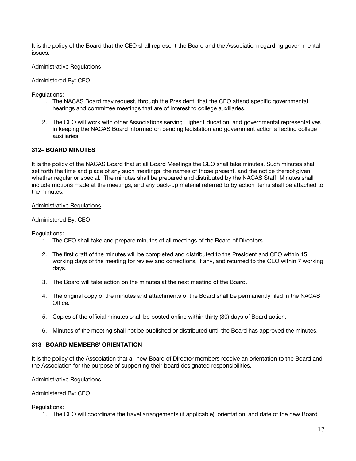It is the policy of the Board that the CEO shall represent the Board and the Association regarding governmental issues.

# Administrative Regulations

### Administered By: CEO

Regulations:

- 1. The NACAS Board may request, through the President, that the CEO attend specific governmental hearings and committee meetings that are of interest to college auxiliaries.
- 2. The CEO will work with other Associations serving Higher Education, and governmental representatives in keeping the NACAS Board informed on pending legislation and government action affecting college auxiliaries.

# **312– BOARD MINUTES**

It is the policy of the NACAS Board that at all Board Meetings the CEO shall take minutes. Such minutes shall set forth the time and place of any such meetings, the names of those present, and the notice thereof given, whether regular or special. The minutes shall be prepared and distributed by the NACAS Staff. Minutes shall include motions made at the meetings, and any back-up material referred to by action items shall be attached to the minutes.

### Administrative Regulations

# Administered By: CEO

Regulations:

- 1. The CEO shall take and prepare minutes of all meetings of the Board of Directors.
- 2. The first draft of the minutes will be completed and distributed to the President and CEO within 15 working days of the meeting for review and corrections, if any, and returned to the CEO within 7 working days.
- 3. The Board will take action on the minutes at the next meeting of the Board.
- 4. The original copy of the minutes and attachments of the Board shall be permanently filed in the NACAS Office.
- 5. Copies of the official minutes shall be posted online within thirty (30) days of Board action.
- 6. Minutes of the meeting shall not be published or distributed until the Board has approved the minutes.

### **313– BOARD MEMBERS' ORIENTATION**

It is the policy of the Association that all new Board of Director members receive an orientation to the Board and the Association for the purpose of supporting their board designated responsibilities.

### Administrative Regulations

### Administered By: CEO

### Regulations:

1. The CEO will coordinate the travel arrangements (if applicable), orientation, and date of the new Board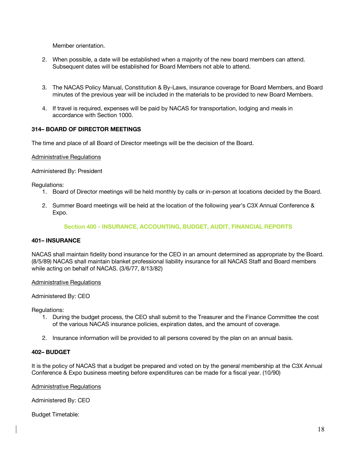Member orientation.

- 2. When possible, a date will be established when a majority of the new board members can attend. Subsequent dates will be established for Board Members not able to attend.
- 3. The NACAS Policy Manual, Constitution & By-Laws, insurance coverage for Board Members, and Board minutes of the previous year will be included in the materials to be provided to new Board Members.
- 4. If travel is required, expenses will be paid by NACAS for transportation, lodging and meals in accordance with Section 1000.

# **314– BOARD OF DIRECTOR MEETINGS**

The time and place of all Board of Director meetings will be the decision of the Board.

### Administrative Regulations

Administered By: President

Regulations:

- 1. Board of Director meetings will be held monthly by calls or in-person at locations decided by the Board.
- 2. Summer Board meetings will be held at the location of the following year's C3X Annual Conference & Expo.

### **Section 400 - INSURANCE, ACCOUNTING, BUDGET, AUDIT, FINANCIAL REPORTS**

# **401– INSURANCE**

NACAS shall maintain fidelity bond insurance for the CEO in an amount determined as appropriate by the Board. (8/5/89) NACAS shall maintain blanket professional liability insurance for all NACAS Staff and Board members while acting on behalf of NACAS. (3/6/77, 8/13/82)

### Administrative Regulations

Administered By: CEO

Regulations:

- 1. During the budget process, the CEO shall submit to the Treasurer and the Finance Committee the cost of the various NACAS insurance policies, expiration dates, and the amount of coverage.
- 2. Insurance information will be provided to all persons covered by the plan on an annual basis.

### **402– BUDGET**

It is the policy of NACAS that a budget be prepared and voted on by the general membership at the C3X Annual Conference & Expo business meeting before expenditures can be made for a fiscal year. (10/90)

Administrative Regulations

Administered By: CEO

Budget Timetable: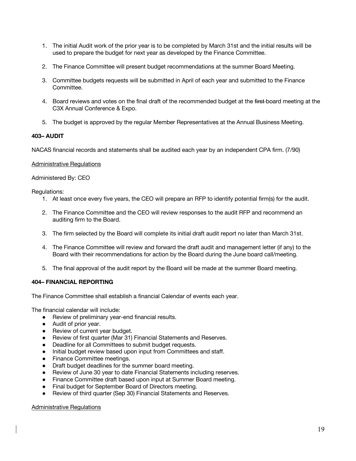- 1. The initial Audit work of the prior year is to be completed by March 31st and the initial results will be used to prepare the budget for next year as developed by the Finance Committee.
- 2. The Finance Committee will present budget recommendations at the summer Board Meeting.
- 3. Committee budgets requests will be submitted in April of each year and submitted to the Finance Committee.
- 4. Board reviews and votes on the final draft of the recommended budget at the first-board meeting at the C3X Annual Conference & Expo.
- 5. The budget is approved by the regular Member Representatives at the Annual Business Meeting.

# **403– AUDIT**

NACAS financial records and statements shall be audited each year by an independent CPA firm. (7/90)

### Administrative Regulations

Administered By: CEO

Regulations:

- 1. At least once every five years, the CEO will prepare an RFP to identify potential firm(s) for the audit.
- 2. The Finance Committee and the CEO will review responses to the audit RFP and recommend an auditing firm to the Board.
- 3. The firm selected by the Board will complete its initial draft audit report no later than March 31st.
- 4. The Finance Committee will review and forward the draft audit and management letter (if any) to the Board with their recommendations for action by the Board during the June board call/meeting.
- 5. The final approval of the audit report by the Board will be made at the summer Board meeting.

# **404– FINANCIAL REPORTING**

The Finance Committee shall establish a financial Calendar of events each year.

The financial calendar will include:

- Review of preliminary year-end financial results.
- Audit of prior year.
- Review of current year budget.
- Review of first quarter (Mar 31) Financial Statements and Reserves.
- Deadline for all Committees to submit budget requests.
- Initial budget review based upon input from Committees and staff.
- Finance Committee meetings.
- Draft budget deadlines for the summer board meeting.
- Review of June 30 year to date Financial Statements including reserves.
- Finance Committee draft based upon input at Summer Board meeting.
- Final budget for September Board of Directors meeting.
- Review of third quarter (Sep 30) Financial Statements and Reserves.

### Administrative Regulations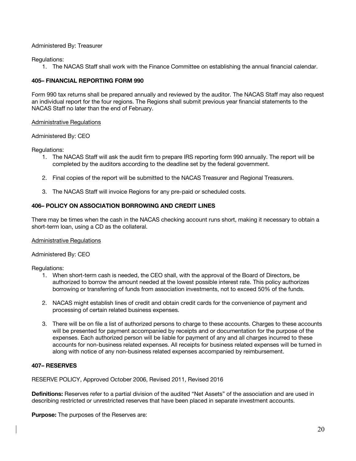# Administered By: Treasurer

Regulations:

1. The NACAS Staff shall work with the Finance Committee on establishing the annual financial calendar.

# **405– FINANCIAL REPORTING FORM 990**

Form 990 tax returns shall be prepared annually and reviewed by the auditor. The NACAS Staff may also request an individual report for the four regions. The Regions shall submit previous year financial statements to the NACAS Staff no later than the end of February.

### Administrative Regulations

# Administered By: CEO

Regulations:

- 1. The NACAS Staff will ask the audit firm to prepare IRS reporting form 990 annually. The report will be completed by the auditors according to the deadline set by the federal government.
- 2. Final copies of the report will be submitted to the NACAS Treasurer and Regional Treasurers.
- 3. The NACAS Staff will invoice Regions for any pre-paid or scheduled costs.

# **406– POLICY ON ASSOCIATION BORROWING AND CREDIT LINES**

There may be times when the cash in the NACAS checking account runs short, making it necessary to obtain a short-term loan, using a CD as the collateral.

### Administrative Regulations

### Administered By: CEO

Regulations:

- 1. When short-term cash is needed, the CEO shall, with the approval of the Board of Directors, be authorized to borrow the amount needed at the lowest possible interest rate. This policy authorizes borrowing or transferring of funds from association investments, not to exceed 50% of the funds.
- 2. NACAS might establish lines of credit and obtain credit cards for the convenience of payment and processing of certain related business expenses.
- 3. There will be on file a list of authorized persons to charge to these accounts. Charges to these accounts will be presented for payment accompanied by receipts and or documentation for the purpose of the expenses. Each authorized person will be liable for payment of any and all charges incurred to these accounts for non-business related expenses. All receipts for business related expenses will be turned in along with notice of any non-business related expenses accompanied by reimbursement.

### **407– RESERVES**

RESERVE POLICY, Approved October 2006, Revised 2011, Revised 2016

**Definitions:** Reserves refer to a partial division of the audited "Net Assets" of the association and are used in describing restricted or unrestricted reserves that have been placed in separate investment accounts.

**Purpose:** The purposes of the Reserves are: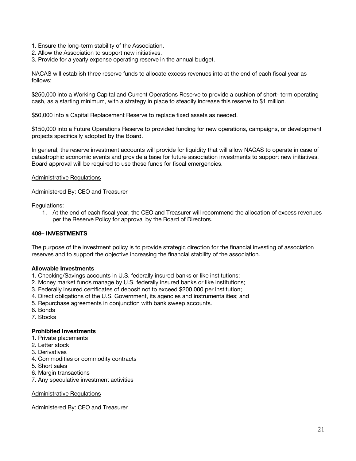- 1. Ensure the long-term stability of the Association.
- 2. Allow the Association to support new initiatives.
- 3. Provide for a yearly expense operating reserve in the annual budget.

NACAS will establish three reserve funds to allocate excess revenues into at the end of each fiscal year as follows:

\$250,000 into a Working Capital and Current Operations Reserve to provide a cushion of short- term operating cash, as a starting minimum, with a strategy in place to steadily increase this reserve to \$1 million.

\$50,000 into a Capital Replacement Reserve to replace fixed assets as needed.

\$150,000 into a Future Operations Reserve to provided funding for new operations, campaigns, or development projects specifically adopted by the Board.

In general, the reserve investment accounts will provide for liquidity that will allow NACAS to operate in case of catastrophic economic events and provide a base for future association investments to support new initiatives. Board approval will be required to use these funds for fiscal emergencies.

# Administrative Regulations

Administered By: CEO and Treasurer

Regulations:

1. At the end of each fiscal year, the CEO and Treasurer will recommend the allocation of excess revenues per the Reserve Policy for approval by the Board of Directors.

# **408– INVESTMENTS**

The purpose of the investment policy is to provide strategic direction for the financial investing of association reserves and to support the objective increasing the financial stability of the association.

# **Allowable Investments**

- 1. Checking/Savings accounts in U.S. federally insured banks or like institutions;
- 2. Money market funds manage by U.S. federally insured banks or like institutions;
- 3. Federally insured certificates of deposit not to exceed \$200,000 per institution;
- 4. Direct obligations of the U.S. Government, its agencies and instrumentalities; and
- 5. Repurchase agreements in conjunction with bank sweep accounts.
- 6. Bonds
- 7. Stocks

### **Prohibited Investments**

- 1. Private placements
- 2. Letter stock
- 3. Derivatives
- 4. Commodities or commodity contracts
- 5. Short sales
- 6. Margin transactions
- 7. Any speculative investment activities

Administrative Regulations

Administered By: CEO and Treasurer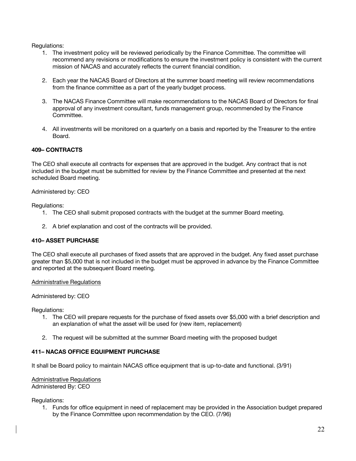Regulations:

- 1. The investment policy will be reviewed periodically by the Finance Committee. The committee will recommend any revisions or modifications to ensure the investment policy is consistent with the current mission of NACAS and accurately reflects the current financial condition.
- 2. Each year the NACAS Board of Directors at the summer board meeting will review recommendations from the finance committee as a part of the yearly budget process.
- 3. The NACAS Finance Committee will make recommendations to the NACAS Board of Directors for final approval of any investment consultant, funds management group, recommended by the Finance Committee.
- 4. All investments will be monitored on a quarterly on a basis and reported by the Treasurer to the entire Board.

# **409– CONTRACTS**

The CEO shall execute all contracts for expenses that are approved in the budget. Any contract that is not included in the budget must be submitted for review by the Finance Committee and presented at the next scheduled Board meeting.

Administered by: CEO

Regulations:

- 1. The CEO shall submit proposed contracts with the budget at the summer Board meeting.
- 2. A brief explanation and cost of the contracts will be provided.

# **410– ASSET PURCHASE**

The CEO shall execute all purchases of fixed assets that are approved in the budget. Any fixed asset purchase greater than \$5,000 that is not included in the budget must be approved in advance by the Finance Committee and reported at the subsequent Board meeting.

### Administrative Regulations

Administered by: CEO

Regulations:

- 1. The CEO will prepare requests for the purchase of fixed assets over \$5,000 with a brief description and an explanation of what the asset will be used for (new item, replacement)
- 2. The request will be submitted at the summer Board meeting with the proposed budget

# **411– NACAS OFFICE EQUIPMENT PURCHASE**

It shall be Board policy to maintain NACAS office equipment that is up-to-date and functional. (3/91)

Administrative Regulations Administered By: CEO

Regulations:

1. Funds for office equipment in need of replacement may be provided in the Association budget prepared by the Finance Committee upon recommendation by the CEO. (7/96)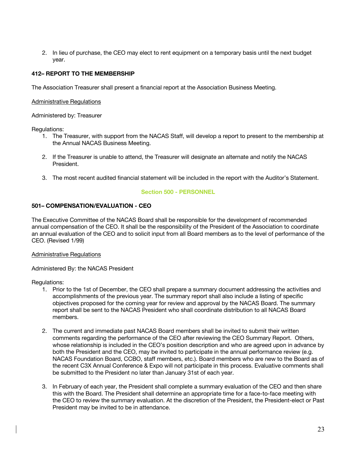2. In lieu of purchase, the CEO may elect to rent equipment on a temporary basis until the next budget year.

# **412– REPORT TO THE MEMBERSHIP**

The Association Treasurer shall present a financial report at the Association Business Meeting.

### Administrative Regulations

Administered by: Treasurer

Regulations:

- 1. The Treasurer, with support from the NACAS Staff, will develop a report to present to the membership at the Annual NACAS Business Meeting.
- 2. If the Treasurer is unable to attend, the Treasurer will designate an alternate and notify the NACAS President.
- 3. The most recent audited financial statement will be included in the report with the Auditor's Statement.

# **Section 500 - PERSONNEL**

# **501– COMPENSATION/EVALUATION - CEO**

The Executive Committee of the NACAS Board shall be responsible for the development of recommended annual compensation of the CEO. It shall be the responsibility of the President of the Association to coordinate an annual evaluation of the CEO and to solicit input from all Board members as to the level of performance of the CEO. (Revised 1/99)

### Administrative Regulations

### Administered By: the NACAS President

Regulations:

- 1. Prior to the 1st of December, the CEO shall prepare a summary document addressing the activities and accomplishments of the previous year. The summary report shall also include a listing of specific objectives proposed for the coming year for review and approval by the NACAS Board. The summary report shall be sent to the NACAS President who shall coordinate distribution to all NACAS Board members.
- 2. The current and immediate past NACAS Board members shall be invited to submit their written comments regarding the performance of the CEO after reviewing the CEO Summary Report. Others, whose relationship is included in the CEO's position description and who are agreed upon in advance by both the President and the CEO, may be invited to participate in the annual performance review (e.g. NACAS Foundation Board, CCBO, staff members, etc.). Board members who are new to the Board as of the recent C3X Annual Conference & Expo will not participate in this process. Evaluative comments shall be submitted to the President no later than January 31st of each year.
- 3. In February of each year, the President shall complete a summary evaluation of the CEO and then share this with the Board. The President shall determine an appropriate time for a face-to-face meeting with the CEO to review the summary evaluation. At the discretion of the President, the President-elect or Past President may be invited to be in attendance.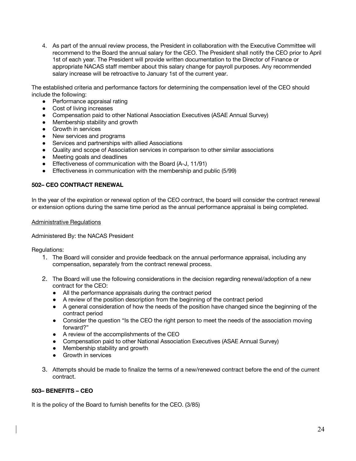4. As part of the annual review process, the President in collaboration with the Executive Committee will recommend to the Board the annual salary for the CEO. The President shall notify the CEO prior to April 1st of each year. The President will provide written documentation to the Director of Finance or appropriate NACAS staff member about this salary change for payroll purposes. Any recommended salary increase will be retroactive to January 1st of the current year.

The established criteria and performance factors for determining the compensation level of the CEO should include the following:

- Performance appraisal rating
- Cost of living increases
- Compensation paid to other National Association Executives (ASAE Annual Survey)
- Membership stability and growth
- Growth in services
- New services and programs
- Services and partnerships with allied Associations
- Quality and scope of Association services in comparison to other similar associations
- Meeting goals and deadlines
- Effectiveness of communication with the Board (A-J, 11/91)
- Effectiveness in communication with the membership and public (5/99)

# **502– CEO CONTRACT RENEWAL**

In the year of the expiration or renewal option of the CEO contract, the board will consider the contract renewal or extension options during the same time period as the annual performance appraisal is being completed.

# Administrative Regulations

# Administered By: the NACAS President

Regulations:

- 1. The Board will consider and provide feedback on the annual performance appraisal, including any compensation, separately from the contract renewal process.
- 2. The Board will use the following considerations in the decision regarding renewal/adoption of a new contract for the CEO:
	- All the performance appraisals during the contract period
	- A review of the position description from the beginning of the contract period
	- A general consideration of how the needs of the position have changed since the beginning of the contract period
	- Consider the question "Is the CEO the right person to meet the needs of the association moving forward?"
	- A review of the accomplishments of the CEO
	- Compensation paid to other National Association Executives (ASAE Annual Survey)
	- Membership stability and growth
	- Growth in services
- 3. Attempts should be made to finalize the terms of a new/renewed contract before the end of the current contract.

# **503– BENEFITS – CEO**

It is the policy of the Board to furnish benefits for the CEO. (3/85)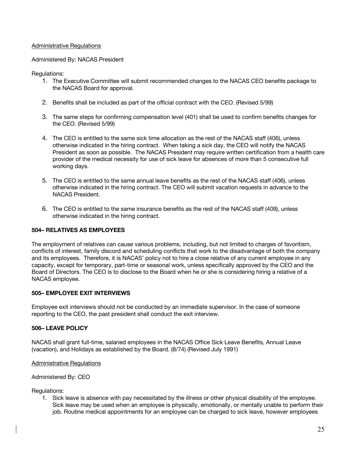# Administrative Regulations

# Administered By: NACAS President

# Regulations:

- 1. The Executive Committee will submit recommended changes to the NACAS CEO benefits package to the NACAS Board for approval.
- 2. Benefits shall be included as part of the official contract with the CEO. (Revised 5/99)
- 3. The same steps for confirming compensation level (401) shall be used to confirm benefits changes for the CEO. (Revised 5/99)
- 4. The CEO is entitled to the same sick time allocation as the rest of the NACAS staff (406), unless otherwise indicated in the hiring contract. When taking a sick day, the CEO will notify the NACAS President as soon as possible. The NACAS President may require written certification from a health care provider of the medical necessity for use of sick leave for absences of more than 5 consecutive full working days.
- 5. The CEO is entitled to the same annual leave benefits as the rest of the NACAS staff (406), unless otherwise indicated in the hiring contract. The CEO will submit vacation requests in advance to the NACAS President.
- 6. The CEO is entitled to the same insurance benefits as the rest of the NACAS staff (409), unless otherwise indicated in the hiring contract.

# **504– RELATIVES AS EMPLOYEES**

The employment of relatives can cause various problems, including, but not limited to charges of favoritism, conflicts of interest, family discord and scheduling conflicts that work to the disadvantage of both the company and its employees. Therefore, it is NACAS' policy not to hire a close relative of any current employee in any capacity, except for temporary, part-time or seasonal work, unless specifically approved by the CEO and the Board of Directors. The CEO is to disclose to the Board when he or she is considering hiring a relative of a NACAS employee.

### **505– EMPLOYEE EXIT INTERVIEWS**

Employee exit interviews should not be conducted by an immediate supervisor. In the case of someone reporting to the CEO, the past president shall conduct the exit interview.

### **506– LEAVE POLICY**

NACAS shall grant full-time, salaried employees in the NACAS Office Sick Leave Benefits, Annual Leave (vacation), and Holidays as established by the Board. (8/74) (Revised July 1991)

### Administrative Regulations

### Administered By: CEO

### Regulations:

1. Sick leave is absence with pay necessitated by the illness or other physical disability of the employee. Sick leave may be used when an employee is physically, emotionally, or mentally unable to perform their job. Routine medical appointments for an employee can be charged to sick leave, however employees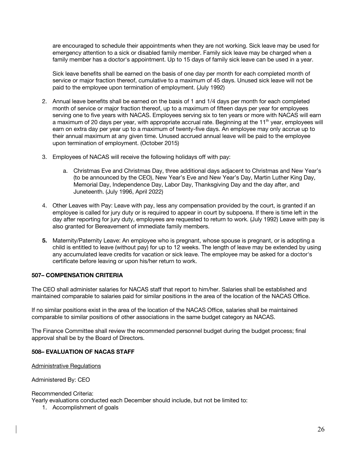are encouraged to schedule their appointments when they are not working. Sick leave may be used for emergency attention to a sick or disabled family member. Family sick leave may be charged when a family member has a doctor's appointment. Up to 15 days of family sick leave can be used in a year.

Sick leave benefits shall be earned on the basis of one day per month for each completed month of service or major fraction thereof, cumulative to a maximum of 45 days. Unused sick leave will not be paid to the employee upon termination of employment. (July 1992)

- 2. Annual leave benefits shall be earned on the basis of 1 and 1/4 days per month for each completed month of service or major fraction thereof, up to a maximum of fifteen days per year for employees serving one to five years with NACAS. Employees serving six to ten years or more with NACAS will earn a maximum of 20 days per year, with appropriate accrual rate. Beginning at the 11<sup>th</sup> year, employees will earn on extra day per year up to a maximum of twenty-five days. An employee may only accrue up to their annual maximum at any given time. Unused accrued annual leave will be paid to the employee upon termination of employment. (October 2015)
- 3. Employees of NACAS will receive the following holidays off with pay:
	- a. Christmas Eve and Christmas Day, three additional days adjacent to Christmas and New Year's (to be announced by the CEO), New Year's Eve and New Year's Day, Martin Luther King Day, Memorial Day, Independence Day, Labor Day, Thanksgiving Day and the day after, and Juneteenth. (July 1996, April 2022)
- 4. Other Leaves with Pay: Leave with pay, less any compensation provided by the court, is granted if an employee is called for jury duty or is required to appear in court by subpoena. If there is time left in the day after reporting for jury duty, employees are requested to return to work. (July 1992) Leave with pay is also granted for Bereavement of immediate family members.
- **5.** Maternity/Paternity Leave: An employee who is pregnant, whose spouse is pregnant, or is adopting a child is entitled to leave (without pay) for up to 12 weeks. The length of leave may be extended by using any accumulated leave credits for vacation or sick leave. The employee may be asked for a doctor's certificate before leaving or upon his/her return to work.

# **507– COMPENSATION CRITERIA**

The CEO shall administer salaries for NACAS staff that report to him/her. Salaries shall be established and maintained comparable to salaries paid for similar positions in the area of the location of the NACAS Office.

If no similar positions exist in the area of the location of the NACAS Office, salaries shall be maintained comparable to similar positions of other associations in the same budget category as NACAS.

The Finance Committee shall review the recommended personnel budget during the budget process; final approval shall be by the Board of Directors.

# **508– EVALUATION OF NACAS STAFF**

Administrative Regulations

Administered By: CEO

Recommended Criteria:

Yearly evaluations conducted each December should include, but not be limited to:

1. Accomplishment of goals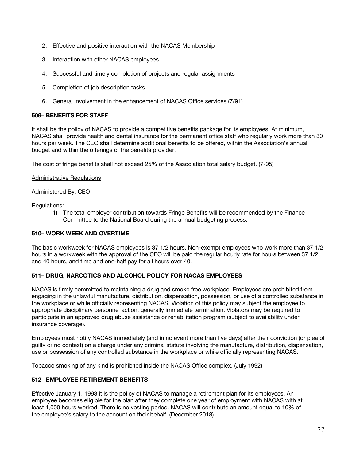- 2. Effective and positive interaction with the NACAS Membership
- 3. Interaction with other NACAS employees
- 4. Successful and timely completion of projects and regular assignments
- 5. Completion of job description tasks
- 6. General involvement in the enhancement of NACAS Office services (7/91)

# **509– BENEFITS FOR STAFF**

It shall be the policy of NACAS to provide a competitive benefits package for its employees. At minimum, NACAS shall provide health and dental insurance for the permanent office staff who regularly work more than 30 hours per week. The CEO shall determine additional benefits to be offered, within the Association's annual budget and within the offerings of the benefits provider.

The cost of fringe benefits shall not exceed 25% of the Association total salary budget. (7-95)

# Administrative Regulations

# Administered By: CEO

Regulations:

1) The total employer contribution towards Fringe Benefits will be recommended by the Finance Committee to the National Board during the annual budgeting process.

# **510– WORK WEEK AND OVERTIME**

The basic workweek for NACAS employees is 37 1/2 hours. Non-exempt employees who work more than 37 1/2 hours in a workweek with the approval of the CEO will be paid the regular hourly rate for hours between 37 1/2 and 40 hours, and time and one-half pay for all hours over 40.

# **511– DRUG, NARCOTICS AND ALCOHOL POLICY FOR NACAS EMPLOYEES**

NACAS is firmly committed to maintaining a drug and smoke free workplace. Employees are prohibited from engaging in the unlawful manufacture, distribution, dispensation, possession, or use of a controlled substance in the workplace or while officially representing NACAS. Violation of this policy may subject the employee to appropriate disciplinary personnel action, generally immediate termination. Violators may be required to participate in an approved drug abuse assistance or rehabilitation program (subject to availability under insurance coverage).

Employees must notify NACAS immediately (and in no event more than five days) after their conviction (or plea of guilty or no contest) on a charge under any criminal statute involving the manufacture, distribution, dispensation, use or possession of any controlled substance in the workplace or while officially representing NACAS.

Tobacco smoking of any kind is prohibited inside the NACAS Office complex. (July 1992)

# **512– EMPLOYEE RETIREMENT BENEFITS**

Effective January 1, 1993 it is the policy of NACAS to manage a retirement plan for its employees. An employee becomes eligible for the plan after they complete one year of employment with NACAS with at least 1,000 hours worked. There is no vesting period. NACAS will contribute an amount equal to 10% of the employee's salary to the account on their behalf. (December 2018)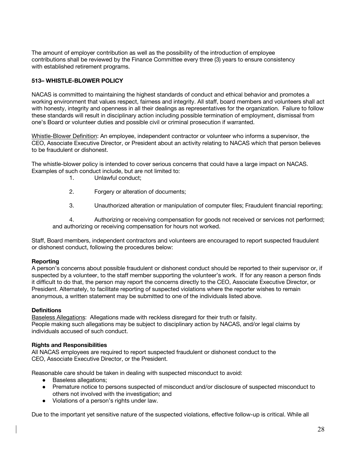The amount of employer contribution as well as the possibility of the introduction of employee contributions shall be reviewed by the Finance Committee every three (3) years to ensure consistency with established retirement programs.

# **513– WHISTLE-BLOWER POLICY**

NACAS is committed to maintaining the highest standards of conduct and ethical behavior and promotes a working environment that values respect, fairness and integrity. All staff, board members and volunteers shall act with honesty, integrity and openness in all their dealings as representatives for the organization. Failure to follow these standards will result in disciplinary action including possible termination of employment, dismissal from one's Board or volunteer duties and possible civil or criminal prosecution if warranted.

Whistle-Blower Definition: An employee, independent contractor or volunteer who informs a supervisor, the CEO, Associate Executive Director, or President about an activity relating to NACAS which that person believes to be fraudulent or dishonest.

The whistle-blower policy is intended to cover serious concerns that could have a large impact on NACAS. Examples of such conduct include, but are not limited to:

- 1. Unlawful conduct;
- 2. Forgery or alteration of documents;
- 3. Unauthorized alteration or manipulation of computer files; Fraudulent financial reporting;

4. Authorizing or receiving compensation for goods not received or services not performed; and authorizing or receiving compensation for hours not worked.

Staff, Board members, independent contractors and volunteers are encouraged to report suspected fraudulent or dishonest conduct, following the procedures below:

### **Reporting**

A person's concerns about possible fraudulent or dishonest conduct should be reported to their supervisor or, if suspected by a volunteer, to the staff member supporting the volunteer's work. If for any reason a person finds it difficult to do that, the person may report the concerns directly to the CEO, Associate Executive Director, or President. Alternately, to facilitate reporting of suspected violations where the reporter wishes to remain anonymous, a written statement may be submitted to one of the individuals listed above.

### **Definitions**

Baseless Allegations: Allegations made with reckless disregard for their truth or falsity. People making such allegations may be subject to disciplinary action by NACAS, and/or legal claims by individuals accused of such conduct.

### **Rights and Responsibilities**

All NACAS employees are required to report suspected fraudulent or dishonest conduct to the CEO, Associate Executive Director, or the President.

Reasonable care should be taken in dealing with suspected misconduct to avoid:

- Baseless allegations;
- Premature notice to persons suspected of misconduct and/or disclosure of suspected misconduct to others not involved with the investigation; and
- Violations of a person's rights under law.

Due to the important yet sensitive nature of the suspected violations, effective follow-up is critical. While all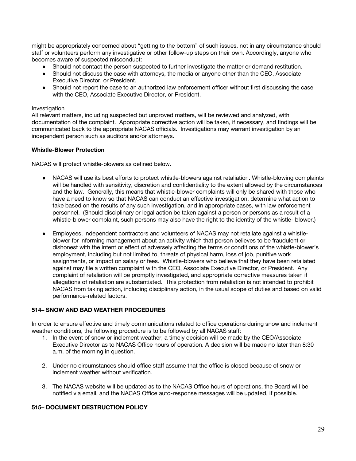might be appropriately concerned about "getting to the bottom" of such issues, not in any circumstance should staff or volunteers perform any investigative or other follow-up steps on their own. Accordingly, anyone who becomes aware of suspected misconduct:

- Should not contact the person suspected to further investigate the matter or demand restitution.
- Should not discuss the case with attorneys, the media or anyone other than the CEO, Associate Executive Director, or President.
- Should not report the case to an authorized law enforcement officer without first discussing the case with the CEO, Associate Executive Director, or President.

### Investigation

All relevant matters, including suspected but unproved matters, will be reviewed and analyzed, with documentation of the complaint. Appropriate corrective action will be taken, if necessary, and findings will be communicated back to the appropriate NACAS officials. Investigations may warrant investigation by an independent person such as auditors and/or attorneys.

### **Whistle-Blower Protection**

NACAS will protect whistle-blowers as defined below.

- NACAS will use its best efforts to protect whistle-blowers against retaliation. Whistle-blowing complaints will be handled with sensitivity, discretion and confidentiality to the extent allowed by the circumstances and the law. Generally, this means that whistle-blower complaints will only be shared with those who have a need to know so that NACAS can conduct an effective investigation, determine what action to take based on the results of any such investigation, and in appropriate cases, with law enforcement personnel. (Should disciplinary or legal action be taken against a person or persons as a result of a whistle-blower complaint, such persons may also have the right to the identity of the whistle- blower.)
- Employees, independent contractors and volunteers of NACAS may not retaliate against a whistleblower for informing management about an activity which that person believes to be fraudulent or dishonest with the intent or effect of adversely affecting the terms or conditions of the whistle-blower's employment, including but not limited to, threats of physical harm, loss of job, punitive work assignments, or impact on salary or fees. Whistle-blowers who believe that they have been retaliated against may file a written complaint with the CEO, Associate Executive Director, or President. Any complaint of retaliation will be promptly investigated, and appropriate corrective measures taken if allegations of retaliation are substantiated. This protection from retaliation is not intended to prohibit NACAS from taking action, including disciplinary action, in the usual scope of duties and based on valid performance-related factors.

### **514– SNOW AND BAD WEATHER PROCEDURES**

In order to ensure effective and timely communications related to office operations during snow and inclement weather conditions, the following procedure is to be followed by all NACAS staff:

- 1. In the event of snow or inclement weather, a timely decision will be made by the CEO/Associate Executive Director as to NACAS Office hours of operation. A decision will be made no later than 8:30 a.m. of the morning in question.
- 2. Under no circumstances should office staff assume that the office is closed because of snow or inclement weather without verification.
- 3. The NACAS website will be updated as to the NACAS Office hours of operations, the Board will be notified via email, and the NACAS Office auto-response messages will be updated, if possible.

# **515– DOCUMENT DESTRUCTION POLICY**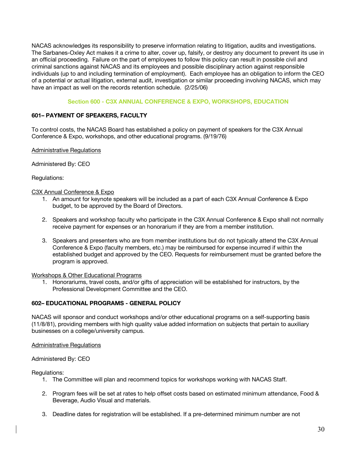NACAS acknowledges its responsibility to preserve information relating to litigation, audits and investigations. The Sarbanes-Oxley Act makes it a crime to alter, cover up, falsify, or destroy any document to prevent its use in an official proceeding. Failure on the part of employees to follow this policy can result in possible civil and criminal sanctions against NACAS and its employees and possible disciplinary action against responsible individuals (up to and including termination of employment). Each employee has an obligation to inform the CEO of a potential or actual litigation, external audit, investigation or similar proceeding involving NACAS, which may have an impact as well on the records retention schedule. (2/25/06)

# **Section 600 - C3X ANNUAL CONFERENCE & EXPO, WORKSHOPS, EDUCATION**

# **601– PAYMENT OF SPEAKERS, FACULTY**

To control costs, the NACAS Board has established a policy on payment of speakers for the C3X Annual Conference & Expo, workshops, and other educational programs. (9/19/76)

Administrative Regulations

Administered By: CEO

Regulations:

# C3X Annual Conference & Expo

- 1. An amount for keynote speakers will be included as a part of each C3X Annual Conference & Expo budget, to be approved by the Board of Directors.
- 2. Speakers and workshop faculty who participate in the C3X Annual Conference & Expo shall not normally receive payment for expenses or an honorarium if they are from a member institution.
- 3. Speakers and presenters who are from member institutions but do not typically attend the C3X Annual Conference & Expo (faculty members, etc.) may be reimbursed for expense incurred if within the established budget and approved by the CEO. Requests for reimbursement must be granted before the program is approved.

### Workshops & Other Educational Programs

1. Honorariums, travel costs, and/or gifts of appreciation will be established for instructors, by the Professional Development Committee and the CEO.

# **602– EDUCATIONAL PROGRAMS - GENERAL POLICY**

NACAS will sponsor and conduct workshops and/or other educational programs on a self-supporting basis (11/8/81), providing members with high quality value added information on subjects that pertain to auxiliary businesses on a college/university campus.

### Administrative Regulations

Administered By: CEO

### Regulations:

- 1. The Committee will plan and recommend topics for workshops working with NACAS Staff.
- 2. Program fees will be set at rates to help offset costs based on estimated minimum attendance, Food & Beverage, Audio Visual and materials.
- 3. Deadline dates for registration will be established. If a pre-determined minimum number are not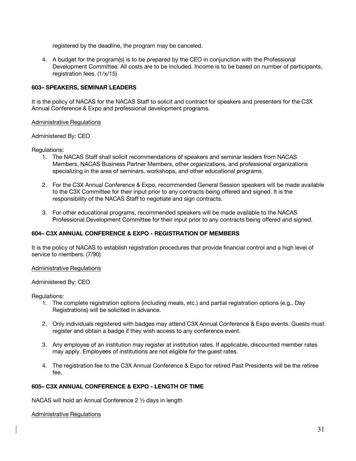registered by the deadline, the program may be canceled.

4. A budget for the program(s) is to be prepared by the CEO in conjunction with the Professional Development Committee. All costs are to be included. Income is to be based on number of participants, registration fees. (1/x/15)

# **603– SPEAKERS, SEMINAR LEADERS**

It is the policy of NACAS for the NACAS Staff to solicit and contract for speakers and presenters for the C3X Annual Conference & Expo and professional development programs.

# Administrative Regulations

# Administered By: CEO

# Regulations:

- 1. The NACAS Staff shall solicit recommendations of speakers and seminar leaders from NACAS Members, NACAS Business Partner Members, other organizations, and professional organizations specializing in the area of seminars, workshops, and other educational programs.
- 2. For the C3X Annual Conference & Expo, recommended General Session speakers will be made available to the C3X Committee for their input prior to any contracts being offered and signed. It is the responsibility of the NACAS Staff to negotiate and sign contracts.
- 3. For other educational programs, recommended speakers will be made available to the NACAS Professional Development Committee for their input prior to any contracts being offered and signed.

# **604– C3X ANNUAL CONFERENCE & EXPO - REGISTRATION OF MEMBERS**

It is the policy of NACAS to establish registration procedures that provide financial control and a high level of service to members. (7/90)

### Administrative Regulations

### Administered By: CEO

### Regulations:

- 1. The complete registration options (including meals, etc.) and partial registration options (e.g., Day Registrations) will be solicited in advance.
- 2. Only individuals registered with badges may attend C3X Annual Conference & Expo events. Guests must register and obtain a badge if they wish access to any conference event.
- 3. Any employee of an institution may register at institution rates. If applicable, discounted member rates may apply. Employees of institutions are not eligible for the guest rates.
- 4. The registration fee to the C3X Annual Conference & Expo for retired Past Presidents will be the retiree fee.

### **605– C3X ANNUAL CONFERENCE & EXPO - LENGTH OF TIME**

NACAS will hold an Annual Conference 2 ½ days in length

### Administrative Regulations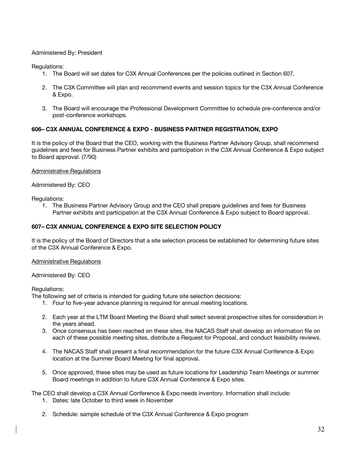# Administered By: President

Regulations:

- 1. The Board will set dates for C3X Annual Conferences per the policies outlined in Section 607.
- 2. The C3X Committee will plan and recommend events and session topics for the C3X Annual Conference & Expo.
- 3. The Board will encourage the Professional Development Committee to schedule pre-conference and/or post-conference workshops.

# **606– C3X ANNUAL CONFERENCE & EXPO - BUSINESS PARTNER REGISTRATION, EXPO**

It is the policy of the Board that the CEO, working with the Business Partner Advisory Group, shall recommend guidelines and fees for Business Partner exhibits and participation in the C3X Annual Conference & Expo subject to Board approval. (7/90)

Administrative Regulations

Administered By: CEO

Regulations:

1. The Business Partner Advisory Group and the CEO shall prepare guidelines and fees for Business Partner exhibits and participation at the C3X Annual Conference & Expo subject to Board approval.

# **607– C3X ANNUAL CONFERENCE & EXPO SITE SELECTION POLICY**

It is the policy of the Board of Directors that a site selection process be established for determining future sites of the C3X Annual Conference & Expo.

Administrative Regulations

Administered By: CEO

Regulations:

The following set of criteria is intended for guiding future site selection decisions:

- 1. Four to five-year advance planning is required for annual meeting locations.
- 2. Each year at the LTM Board Meeting the Board shall select several prospective sites for consideration in the years ahead.
- 3. Once consensus has been reached on these sites, the NACAS Staff shall develop an information file on each of these possible meeting sites, distribute a Request for Proposal, and conduct feasibility reviews.
- 4. The NACAS Staff shall present a final recommendation for the future C3X Annual Conference & Expo location at the Summer Board Meeting for final approval.
- 5. Once approved, these sites may be used as future locations for Leadership Team Meetings or summer Board meetings in addition to future C3X Annual Conference & Expo sites.

The CEO shall develop a C3X Annual Conference & Expo needs inventory. Information shall include: 1. Dates: late October to third week in November

2. Schedule: sample schedule of the C3X Annual Conference & Expo program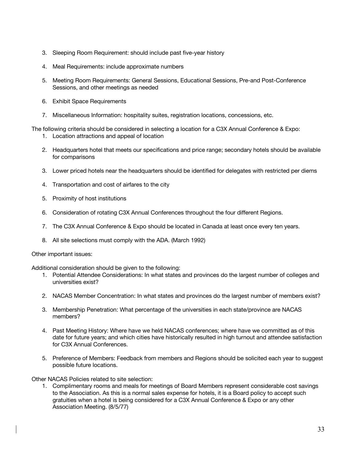- 3. Sleeping Room Requirement: should include past five-year history
- 4. Meal Requirements: include approximate numbers
- 5. Meeting Room Requirements: General Sessions, Educational Sessions, Pre-and Post-Conference Sessions, and other meetings as needed
- 6. Exhibit Space Requirements
- 7. Miscellaneous Information: hospitality suites, registration locations, concessions, etc.

The following criteria should be considered in selecting a location for a C3X Annual Conference & Expo:

- 1. Location attractions and appeal of location
- 2. Headquarters hotel that meets our specifications and price range; secondary hotels should be available for comparisons
- 3. Lower priced hotels near the headquarters should be identified for delegates with restricted per diems
- 4. Transportation and cost of airfares to the city
- 5. Proximity of host institutions
- 6. Consideration of rotating C3X Annual Conferences throughout the four different Regions.
- 7. The C3X Annual Conference & Expo should be located in Canada at least once every ten years.
- 8. All site selections must comply with the ADA. (March 1992)

Other important issues:

Additional consideration should be given to the following:

- 1. Potential Attendee Considerations: In what states and provinces do the largest number of colleges and universities exist?
- 2. NACAS Member Concentration: In what states and provinces do the largest number of members exist?
- 3. Membership Penetration: What percentage of the universities in each state/province are NACAS members?
- 4. Past Meeting History: Where have we held NACAS conferences; where have we committed as of this date for future years; and which cities have historically resulted in high turnout and attendee satisfaction for C3X Annual Conferences.
- 5. Preference of Members: Feedback from members and Regions should be solicited each year to suggest possible future locations.

Other NACAS Policies related to site selection:

1. Complimentary rooms and meals for meetings of Board Members represent considerable cost savings to the Association. As this is a normal sales expense for hotels, it is a Board policy to accept such gratuities when a hotel is being considered for a C3X Annual Conference & Expo or any other Association Meeting. (8/5/77)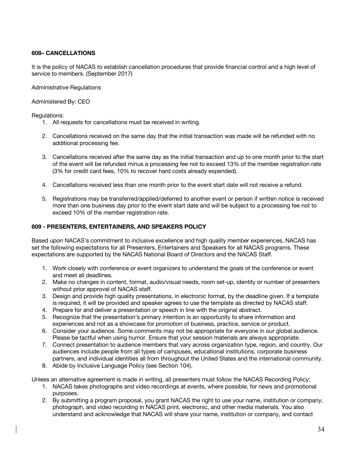# **608– CANCELLATIONS**

It is the policy of NACAS to establish cancellation procedures that provide financial control and a high level of service to members. (September 2017)

Administrative Regulations

Administered By: CEO

Regulations:

- 1. All requests for cancellations must be received in writing.
- 2. Cancellations received on the same day that the initial transaction was made will be refunded with no additional processing fee.
- 3. Cancellations received after the same day as the initial transaction and up to one month prior to the start of the event will be refunded minus a processing fee not to exceed 13% of the member registration rate (3% for credit card fees, 10% to recover hard costs already expended).
- 4. Cancellations received less than one month prior to the event start date will not receive a refund.
- 5. Registrations may be transferred/applied/deferred to another event or person if written notice is received more than one business day prior to the event start date and will be subject to a processing fee not to exceed 10% of the member registration rate.

# **609 - PRESENTERS, ENTERTAINERS, AND SPEAKERS POLICY**

Based upon NACAS's commitment to inclusive excellence and high quality member experiences, NACAS has set the following expectations for all Presenters, Entertainers and Speakers for all NACAS programs. These expectations are supported by the NACAS National Board of Directors and the NACAS Staff.

- 1. Work closely with conference or event organizers to understand the goals of the conference or event and meet all deadlines.
- 2. Make no changes in content, format, audio/visual needs, room set-up, identity or number of presenters without prior approval of NACAS staff.
- 3. Design and provide high quality presentations, in electronic format, by the deadline given. If a template is required, it will be provided and speaker agrees to use the template as directed by NACAS staff.
- 4. Prepare for and deliver a presentation or speech in line with the original abstract.
- 5. Recognize that the presentation's primary intention is an opportunity to share information and experiences and not as a showcase for promotion of business, practice, service or product.
- 6. Consider your audience. Some comments may not be appropriate for everyone in our global audience. Please be tactful when using humor. Ensure that your session materials are always appropriate.
- 7. Connect presentation to audience members that vary across organization type, region, and country. Our audiences include people from all types of campuses, educational institutions, corporate business partners, and individual identities all from throughout the United States and the international community.
- 8. Abide by Inclusive Language Policy (see Section 104).

Unless an alternative agreement is made in writing, all presenters must follow the NACAS Recording Policy:

- 1. NACAS takes photographs and video recordings at events, where possible, for news and promotional purposes.
- 2. By submitting a program proposal, you grant NACAS the right to use your name, institution or company, photograph, and video recording in NACAS print, electronic, and other media materials. You also understand and acknowledge that NACAS will share your name, institution or company, and contact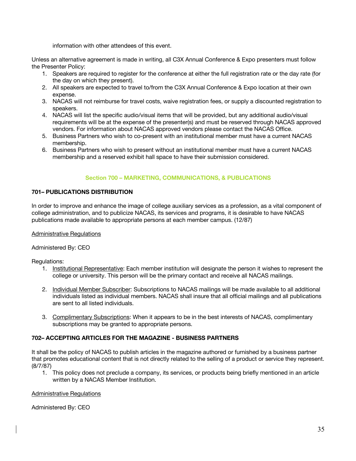information with other attendees of this event.

Unless an alternative agreement is made in writing, all C3X Annual Conference & Expo presenters must follow the Presenter Policy:

- 1. Speakers are required to register for the conference at either the full registration rate or the day rate (for the day on which they present).
- 2. All speakers are expected to travel to/from the C3X Annual Conference & Expo location at their own expense.
- 3. NACAS will not reimburse for travel costs, waive registration fees, or supply a discounted registration to speakers.
- 4. NACAS will list the specific audio/visual items that will be provided, but any additional audio/visual requirements will be at the expense of the presenter(s) and must be reserved through NACAS approved vendors. For information about NACAS approved vendors please contact the NACAS Office.
- 5. Business Partners who wish to co-present with an institutional member must have a current NACAS membership.
- 6. Business Partners who wish to present without an institutional member must have a current NACAS membership and a reserved exhibit hall space to have their submission considered.

# **Section 700 – MARKETING, COMMUNICATIONS, & PUBLICATIONS**

# **701– PUBLICATIONS DISTRIBUTION**

In order to improve and enhance the image of college auxiliary services as a profession, as a vital component of college administration, and to publicize NACAS, its services and programs, it is desirable to have NACAS publications made available to appropriate persons at each member campus. (12/87)

# Administrative Regulations

Administered By: CEO

Regulations:

- 1. Institutional Representative: Each member institution will designate the person it wishes to represent the college or university. This person will be the primary contact and receive all NACAS mailings.
- 2. Individual Member Subscriber: Subscriptions to NACAS mailings will be made available to all additional individuals listed as individual members. NACAS shall insure that all official mailings and all publications are sent to all listed individuals.
- 3. Complimentary Subscriptions: When it appears to be in the best interests of NACAS, complimentary subscriptions may be granted to appropriate persons.

# **702– ACCEPTING ARTICLES FOR THE MAGAZINE - BUSINESS PARTNERS**

It shall be the policy of NACAS to publish articles in the magazine authored or furnished by a business partner that promotes educational content that is not directly related to the selling of a product or service they represent. (8/7/87)

1. This policy does not preclude a company, its services, or products being briefly mentioned in an article written by a NACAS Member Institution.

Administrative Regulations

Administered By: CEO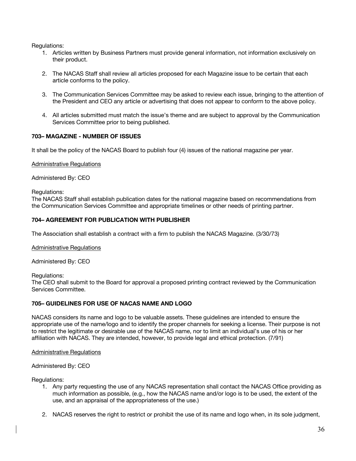Regulations:

- 1. Articles written by Business Partners must provide general information, not information exclusively on their product.
- 2. The NACAS Staff shall review all articles proposed for each Magazine issue to be certain that each article conforms to the policy.
- 3. The Communication Services Committee may be asked to review each issue, bringing to the attention of the President and CEO any article or advertising that does not appear to conform to the above policy.
- 4. All articles submitted must match the issue's theme and are subject to approval by the Communication Services Committee prior to being published.

# **703– MAGAZINE - NUMBER OF ISSUES**

It shall be the policy of the NACAS Board to publish four (4) issues of the national magazine per year.

### Administrative Regulations

Administered By: CEO

### Regulations:

The NACAS Staff shall establish publication dates for the national magazine based on recommendations from the Communication Services Committee and appropriate timelines or other needs of printing partner.

### **704– AGREEMENT FOR PUBLICATION WITH PUBLISHER**

The Association shall establish a contract with a firm to publish the NACAS Magazine. (3/30/73)

### Administrative Regulations

Administered By: CEO

Regulations:

The CEO shall submit to the Board for approval a proposed printing contract reviewed by the Communication Services Committee.

### **705– GUIDELINES FOR USE OF NACAS NAME AND LOGO**

NACAS considers its name and logo to be valuable assets. These guidelines are intended to ensure the appropriate use of the name/logo and to identify the proper channels for seeking a license. Their purpose is not to restrict the legitimate or desirable use of the NACAS name, nor to limit an individual's use of his or her affiliation with NACAS. They are intended, however, to provide legal and ethical protection. (7/91)

### Administrative Regulations

### Administered By: CEO

Regulations:

- 1. Any party requesting the use of any NACAS representation shall contact the NACAS Office providing as much information as possible, (e.g., how the NACAS name and/or logo is to be used, the extent of the use, and an appraisal of the appropriateness of the use.)
- 2. NACAS reserves the right to restrict or prohibit the use of its name and logo when, in its sole judgment,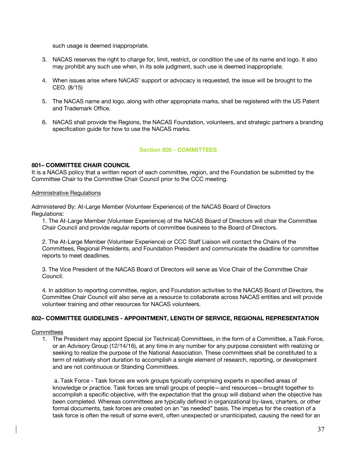such usage is deemed inappropriate.

- 3. NACAS reserves the right to charge for, limit, restrict, or condition the use of its name and logo. It also may prohibit any such use when, in its sole judgment, such use is deemed inappropriate.
- 4. When issues arise where NACAS' support or advocacy is requested, the issue will be brought to the CEO. (8/15)
- 5. The NACAS name and logo, along with other appropriate marks, shall be registered with the US Patent and Trademark Office.
- 6. NACAS shall provide the Regions, the NACAS Foundation, volunteers, and strategic partners a branding specification guide for how to use the NACAS marks.

# **Section 800 - COMMITTEES**

# **801– COMMITTEE CHAIR COUNCIL**

It is a NACAS policy that a written report of each committee, region, and the Foundation be submitted by the Committee Chair to the Committee Chair Council prior to the CCC meeting.

### Administrative Regulations

Administered By: At-Large Member (Volunteer Experience) of the NACAS Board of Directors Regulations:

1. The At-Large Member (Volunteer Experience) of the NACAS Board of Directors will chair the Committee Chair Council and provide regular reports of committee business to the Board of Directors.

2. The At-Large Member (Volunteer Experience) or CCC Staff Liaison will contact the Chairs of the Committees, Regional Presidents, and Foundation President and communicate the deadline for committee reports to meet deadlines.

3. The Vice President of the NACAS Board of Directors will serve as Vice Chair of the Committee Chair Council.

4. In addition to reporting committee, region, and Foundation activities to the NACAS Board of Directors, the Committee Chair Council will also serve as a resource to collaborate across NACAS entities and will provide volunteer training and other resources for NACAS volunteers.

# **802– COMMITTEE GUIDELINES - APPOINTMENT, LENGTH OF SERVICE, REGIONAL REPRESENTATION**

### **Committees**

1. The President may appoint Special (or Technical) Committees, in the form of a Committee, a Task Force, or an Advisory Group (12/14/16), at any time in any number for any purpose consistent with realizing or seeking to realize the purpose of the National Association. These committees shall be constituted to a term of relatively short duration to accomplish a single element of research, reporting, or development and are not continuous or Standing Committees.

a. Task Force - Task forces are work groups typically comprising experts in specified areas of knowledge or practice. Task forces are small groups of people—and resources—brought together to accomplish a specific objective, with the expectation that the group will disband when the objective has been completed. Whereas committees are typically defined in organizational by-laws, charters, or other formal documents, task forces are created on an "as needed" basis. The impetus for the creation of a task force is often the result of some event, often unexpected or unanticipated, causing the need for an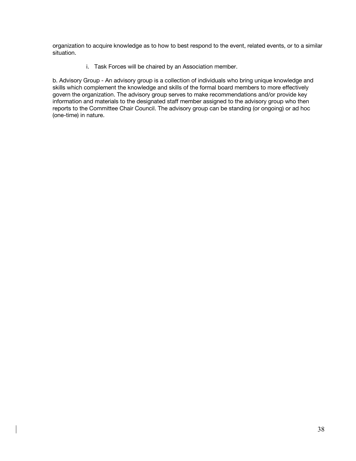organization to acquire knowledge as to how to best respond to the event, related events, or to a similar situation.

i. Task Forces will be chaired by an Association member.

b. Advisory Group - An advisory group is a collection of individuals who bring unique knowledge and skills which complement the knowledge and skills of the formal board members to more effectively govern the organization. The advisory group serves to make recommendations and/or provide key information and materials to the designated staff member assigned to the advisory group who then reports to the Committee Chair Council. The advisory group can be standing (or ongoing) or ad hoc (one-time) in nature.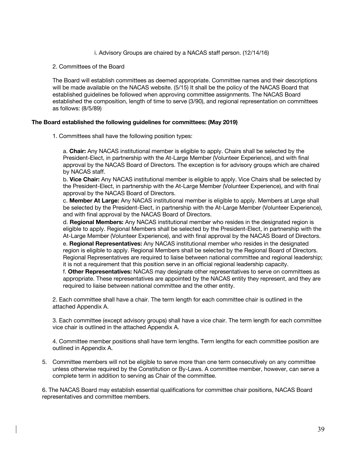i. Advisory Groups are chaired by a NACAS staff person. (12/14/16)

2. Committees of the Board

The Board will establish committees as deemed appropriate. Committee names and their descriptions will be made available on the NACAS website. (5/15) It shall be the policy of the NACAS Board that established guidelines be followed when approving committee assignments. The NACAS Board established the composition, length of time to serve (3/90), and regional representation on committees as follows: (8/5/89)

# **The Board established the following guidelines for committees: (May 2019)**

1. Committees shall have the following position types:

a. **Chair:** Any NACAS institutional member is eligible to apply. Chairs shall be selected by the President-Elect, in partnership with the At-Large Member (Volunteer Experience), and with final approval by the NACAS Board of Directors. The exception is for advisory groups which are chaired by NACAS staff.

b. **Vice Chair:** Any NACAS institutional member is eligible to apply. Vice Chairs shall be selected by the President-Elect, in partnership with the At-Large Member (Volunteer Experience), and with final approval by the NACAS Board of Directors.

c. **Member At Large:** Any NACAS institutional member is eligible to apply. Members at Large shall be selected by the President-Elect, in partnership with the At-Large Member (Volunteer Experience), and with final approval by the NACAS Board of Directors.

d. **Regional Members:** Any NACAS institutional member who resides in the designated region is eligible to apply. Regional Members shall be selected by the President-Elect, in partnership with the At-Large Member (Volunteer Experience), and with final approval by the NACAS Board of Directors.

e. **Regional Representatives:** Any NACAS institutional member who resides in the designated region is eligible to apply. Regional Members shall be selected by the Regional Board of Directors. Regional Representatives are required to liaise between national committee and regional leadership; it is not a requirement that this position serve in an official regional leadership capacity.

f. **Other Representatives:** NACAS may designate other representatives to serve on committees as appropriate. These representatives are appointed by the NACAS entity they represent, and they are required to liaise between national committee and the other entity.

2. Each committee shall have a chair. The term length for each committee chair is outlined in the attached Appendix A.

3. Each committee (except advisory groups) shall have a vice chair. The term length for each committee vice chair is outlined in the attached Appendix A.

4. Committee member positions shall have term lengths. Term lengths for each committee position are outlined in Appendix A.

5. Committee members will not be eligible to serve more than one term consecutively on any committee unless otherwise required by the Constitution or By-Laws. A committee member, however, can serve a complete term in addition to serving as Chair of the committee.

6. The NACAS Board may establish essential qualifications for committee chair positions, NACAS Board representatives and committee members.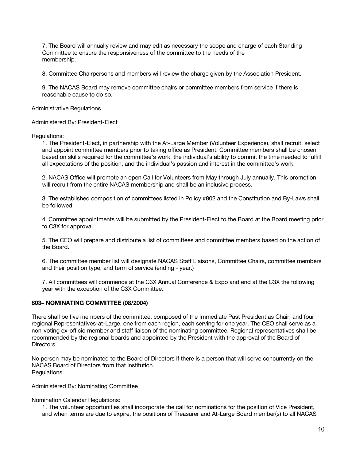7. The Board will annually review and may edit as necessary the scope and charge of each Standing Committee to ensure the responsiveness of the committee to the needs of the membership.

8. Committee Chairpersons and members will review the charge given by the Association President.

9. The NACAS Board may remove committee chairs or committee members from service if there is reasonable cause to do so.

### Administrative Regulations

Administered By: President-Elect

# Regulations:

1. The President-Elect, in partnership with the At-Large Member (Volunteer Experience), shall recruit, select and appoint committee members prior to taking office as President. Committee members shall be chosen based on skills required for the committee's work, the individual's ability to commit the time needed to fulfill all expectations of the position, and the individual's passion and interest in the committee's work.

2. NACAS Office will promote an open Call for Volunteers from May through July annually. This promotion will recruit from the entire NACAS membership and shall be an inclusive process.

3. The established composition of committees listed in Policy #802 and the Constitution and By-Laws shall be followed.

4. Committee appointments will be submitted by the President-Elect to the Board at the Board meeting prior to C3X for approval.

5. The CEO will prepare and distribute a list of committees and committee members based on the action of the Board.

6. The committee member list will designate NACAS Staff Liaisons, Committee Chairs, committee members and their position type, and term of service (ending - year.)

7. All committees will commence at the C3X Annual Conference & Expo and end at the C3X the following year with the exception of the C3X Committee.

# **803– NOMINATING COMMITTEE (08/2004)**

There shall be five members of the committee, composed of the Immediate Past President as Chair, and four regional Representatives-at-Large, one from each region, each serving for one year. The CEO shall serve as a non-voting ex-officio member and staff liaison of the nominating committee. Regional representatives shall be recommended by the regional boards and appointed by the President with the approval of the Board of Directors.

No person may be nominated to the Board of Directors if there is a person that will serve concurrently on the NACAS Board of Directors from that institution. **Requlations** 

Administered By: Nominating Committee

Nomination Calendar Regulations:

1. The volunteer opportunities shall incorporate the call for nominations for the position of Vice President, and when terms are due to expire, the positions of Treasurer and At-Large Board member(s) to all NACAS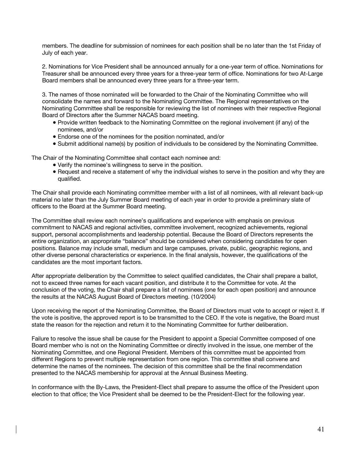members. The deadline for submission of nominees for each position shall be no later than the 1st Friday of July of each year.

2. Nominations for Vice President shall be announced annually for a one-year term of office. Nominations for Treasurer shall be announced every three years for a three-year term of office. Nominations for two At-Large Board members shall be announced every three years for a three-year term.

3. The names of those nominated will be forwarded to the Chair of the Nominating Committee who will consolidate the names and forward to the Nominating Committee. The Regional representatives on the Nominating Committee shall be responsible for reviewing the list of nominees with their respective Regional Board of Directors after the Summer NACAS board meeting.

- Provide written feedback to the Nominating Committee on the regional involvement (if any) of the nominees, and/or
- Endorse one of the nominees for the position nominated, and/or
- Submit additional name(s) by position of individuals to be considered by the Nominating Committee.

The Chair of the Nominating Committee shall contact each nominee and:

- Verify the nominee's willingness to serve in the position.
- Request and receive a statement of why the individual wishes to serve in the position and why they are qualified.

The Chair shall provide each Nominating committee member with a list of all nominees, with all relevant back-up material no later than the July Summer Board meeting of each year in order to provide a preliminary slate of officers to the Board at the Summer Board meeting.

The Committee shall review each nominee's qualifications and experience with emphasis on previous commitment to NACAS and regional activities, committee involvement, recognized achievements, regional support, personal accomplishments and leadership potential. Because the Board of Directors represents the entire organization, an appropriate "balance" should be considered when considering candidates for open positions. Balance may include small, medium and large campuses, private, public, geographic regions, and other diverse personal characteristics or experience. In the final analysis, however, the qualifications of the candidates are the most important factors.

After appropriate deliberation by the Committee to select qualified candidates, the Chair shall prepare a ballot, not to exceed three names for each vacant position, and distribute it to the Committee for vote. At the conclusion of the voting, the Chair shall prepare a list of nominees (one for each open position) and announce the results at the NACAS August Board of Directors meeting. (10/2004)

Upon receiving the report of the Nominating Committee, the Board of Directors must vote to accept or reject it. If the vote is positive, the approved report is to be transmitted to the CEO. If the vote is negative, the Board must state the reason for the rejection and return it to the Nominating Committee for further deliberation.

Failure to resolve the issue shall be cause for the President to appoint a Special Committee composed of one Board member who is not on the Nominating Committee or directly involved in the issue, one member of the Nominating Committee, and one Regional President. Members of this committee must be appointed from different Regions to prevent multiple representation from one region. This committee shall convene and determine the names of the nominees. The decision of this committee shall be the final recommendation presented to the NACAS membership for approval at the Annual Business Meeting.

In conformance with the By-Laws, the President-Elect shall prepare to assume the office of the President upon election to that office; the Vice President shall be deemed to be the President-Elect for the following year.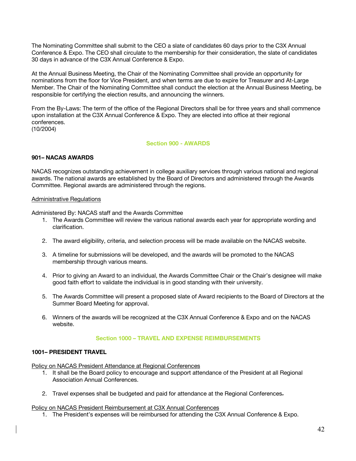The Nominating Committee shall submit to the CEO a slate of candidates 60 days prior to the C3X Annual Conference & Expo. The CEO shall circulate to the membership for their consideration, the slate of candidates 30 days in advance of the C3X Annual Conference & Expo.

At the Annual Business Meeting, the Chair of the Nominating Committee shall provide an opportunity for nominations from the floor for Vice President, and when terms are due to expire for Treasurer and At-Large Member. The Chair of the Nominating Committee shall conduct the election at the Annual Business Meeting, be responsible for certifying the election results, and announcing the winners.

From the By-Laws: The term of the office of the Regional Directors shall be for three years and shall commence upon installation at the C3X Annual Conference & Expo. They are elected into office at their regional conferences. (10/2004)

### **Section 900 - AWARDS**

# **901– NACAS AWARDS**

NACAS recognizes outstanding achievement in college auxiliary services through various national and regional awards. The national awards are established by the Board of Directors and administered through the Awards Committee. Regional awards are administered through the regions.

### Administrative Regulations

Administered By: NACAS staff and the Awards Committee

- 1. The Awards Committee will review the various national awards each year for appropriate wording and clarification.
- 2. The award eligibility, criteria, and selection process will be made available on the NACAS website.
- 3. A timeline for submissions will be developed, and the awards will be promoted to the NACAS membership through various means.
- 4. Prior to giving an Award to an individual, the Awards Committee Chair or the Chair's designee will make good faith effort to validate the individual is in good standing with their university.
- 5. The Awards Committee will present a proposed slate of Award recipients to the Board of Directors at the Summer Board Meeting for approval.
- 6. Winners of the awards will be recognized at the C3X Annual Conference & Expo and on the NACAS website.

### **Section 1000 – TRAVEL AND EXPENSE REIMBURSEMENTS**

### **1001– PRESIDENT TRAVEL**

Policy on NACAS President Attendance at Regional Conferences

- 1. It shall be the Board policy to encourage and support attendance of the President at all Regional Association Annual Conferences.
- 2. Travel expenses shall be budgeted and paid for attendance at the Regional Conferences.

### Policy on NACAS President Reimbursement at C3X Annual Conferences

1. The President's expenses will be reimbursed for attending the C3X Annual Conference & Expo.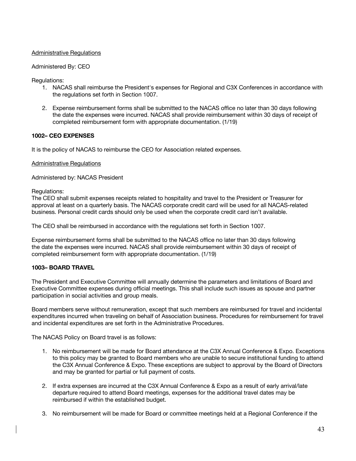# Administrative Regulations

# Administered By: CEO

Regulations:

- 1. NACAS shall reimburse the President's expenses for Regional and C3X Conferences in accordance with the regulations set forth in Section 1007.
- 2. Expense reimbursement forms shall be submitted to the NACAS office no later than 30 days following the date the expenses were incurred. NACAS shall provide reimbursement within 30 days of receipt of completed reimbursement form with appropriate documentation. (1/19)

# **1002– CEO EXPENSES**

It is the policy of NACAS to reimburse the CEO for Association related expenses.

### Administrative Regulations

Administered by: NACAS President

Regulations:

The CEO shall submit expenses receipts related to hospitality and travel to the President or Treasurer for approval at least on a quarterly basis. The NACAS corporate credit card will be used for all NACAS-related business. Personal credit cards should only be used when the corporate credit card isn't available.

The CEO shall be reimbursed in accordance with the regulations set forth in Section 1007.

Expense reimbursement forms shall be submitted to the NACAS office no later than 30 days following the date the expenses were incurred. NACAS shall provide reimbursement within 30 days of receipt of completed reimbursement form with appropriate documentation. (1/19)

# **1003– BOARD TRAVEL**

The President and Executive Committee will annually determine the parameters and limitations of Board and Executive Committee expenses during official meetings. This shall include such issues as spouse and partner participation in social activities and group meals.

Board members serve without remuneration, except that such members are reimbursed for travel and incidental expenditures incurred when traveling on behalf of Association business. Procedures for reimbursement for travel and incidental expenditures are set forth in the Administrative Procedures.

The NACAS Policy on Board travel is as follows:

- 1. No reimbursement will be made for Board attendance at the C3X Annual Conference & Expo. Exceptions to this policy may be granted to Board members who are unable to secure institutional funding to attend the C3X Annual Conference & Expo. These exceptions are subject to approval by the Board of Directors and may be granted for partial or full payment of costs.
- 2. If extra expenses are incurred at the C3X Annual Conference & Expo as a result of early arrival/late departure required to attend Board meetings, expenses for the additional travel dates may be reimbursed if within the established budget.
- 3. No reimbursement will be made for Board or committee meetings held at a Regional Conference if the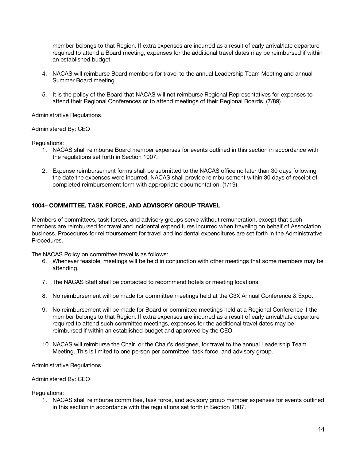member belongs to that Region. If extra expenses are incurred as a result of early arrival/late departure required to attend a Board meeting, expenses for the additional travel dates may be reimbursed if within an established budget.

- 4. NACAS will reimburse Board members for travel to the annual Leadership Team Meeting and annual Summer Board meeting.
- 5. It is the policy of the Board that NACAS will not reimburse Regional Representatives for expenses to attend their Regional Conferences or to attend meetings of their Regional Boards. (7/89)

# Administrative Regulations

# Administered By: CEO

Regulations:

- 1. NACAS shall reimburse Board member expenses for events outlined in this section in accordance with the regulations set forth in Section 1007.
- 2. Expense reimbursement forms shall be submitted to the NACAS office no later than 30 days following the date the expenses were incurred. NACAS shall provide reimbursement within 30 days of receipt of completed reimbursement form with appropriate documentation. (1/19)

# **1004– COMMITTEE, TASK FORCE, AND ADVISORY GROUP TRAVEL**

Members of committees, task forces, and advisory groups serve without remuneration, except that such members are reimbursed for travel and incidental expenditures incurred when traveling on behalf of Association business. Procedures for reimbursement for travel and incidental expenditures are set forth in the Administrative Procedures.

The NACAS Policy on committee travel is as follows:

- 6. Whenever feasible, meetings will be held in conjunction with other meetings that some members may be attending.
- 7. The NACAS Staff shall be contacted to recommend hotels or meeting locations.
- 8. No reimbursement will be made for committee meetings held at the C3X Annual Conference & Expo.
- 9. No reimbursement will be made for Board or committee meetings held at a Regional Conference if the member belongs to that Region. If extra expenses are incurred as a result of early arrival/late departure required to attend such committee meetings, expenses for the additional travel dates may be reimbursed if within an established budget and approved by the CEO.
- 10. NACAS will reimburse the Chair, or the Chair's designee, for travel to the annual Leadership Team Meeting. This is limited to one person per committee, task force, and advisory group.

### Administrative Regulations

### Administered By: CEO

Regulations:

1. NACAS shall reimburse committee, task force, and advisory group member expenses for events outlined in this section in accordance with the regulations set forth in Section 1007.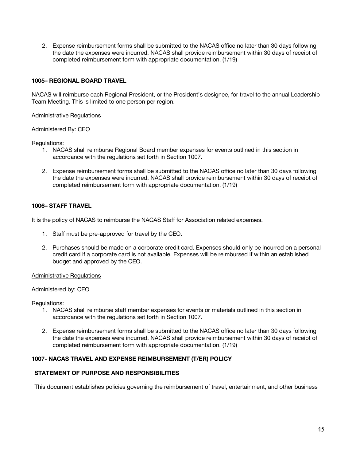2. Expense reimbursement forms shall be submitted to the NACAS office no later than 30 days following the date the expenses were incurred. NACAS shall provide reimbursement within 30 days of receipt of completed reimbursement form with appropriate documentation. (1/19)

# **1005– REGIONAL BOARD TRAVEL**

NACAS will reimburse each Regional President, or the President's designee, for travel to the annual Leadership Team Meeting. This is limited to one person per region.

# Administrative Regulations

Administered By: CEO

Regulations:

- 1. NACAS shall reimburse Regional Board member expenses for events outlined in this section in accordance with the regulations set forth in Section 1007.
- 2. Expense reimbursement forms shall be submitted to the NACAS office no later than 30 days following the date the expenses were incurred. NACAS shall provide reimbursement within 30 days of receipt of completed reimbursement form with appropriate documentation. (1/19)

# **1006– STAFF TRAVEL**

It is the policy of NACAS to reimburse the NACAS Staff for Association related expenses.

- 1. Staff must be pre-approved for travel by the CEO.
- 2. Purchases should be made on a corporate credit card. Expenses should only be incurred on a personal credit card if a corporate card is not available. Expenses will be reimbursed if within an established budget and approved by the CEO.

### Administrative Regulations

Administered by: CEO

Regulations:

- 1. NACAS shall reimburse staff member expenses for events or materials outlined in this section in accordance with the regulations set forth in Section 1007.
- 2. Expense reimbursement forms shall be submitted to the NACAS office no later than 30 days following the date the expenses were incurred. NACAS shall provide reimbursement within 30 days of receipt of completed reimbursement form with appropriate documentation. (1/19)

# **1007- NACAS TRAVEL AND EXPENSE REIMBURSEMENT (T/ER) POLICY**

# **STATEMENT OF PURPOSE AND RESPONSIBILITIES**

This document establishes policies governing the reimbursement of travel, entertainment, and other business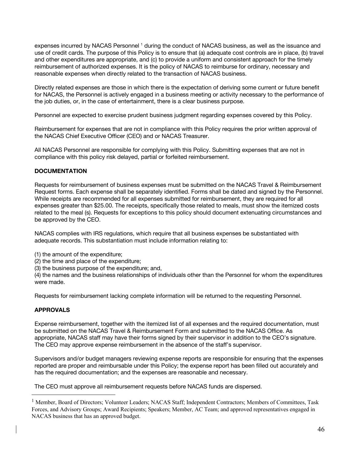expenses incurred by NACAS Personnel<sup>1</sup> during the conduct of NACAS business, as well as the issuance and use of credit cards. The purpose of this Policy is to ensure that (a) adequate cost controls are in place, (b) travel and other expenditures are appropriate, and (c) to provide a uniform and consistent approach for the timely reimbursement of authorized expenses. It is the policy of NACAS to reimburse for ordinary, necessary and reasonable expenses when directly related to the transaction of NACAS business.

Directly related expenses are those in which there is the expectation of deriving some current or future benefit for NACAS, the Personnel is actively engaged in a business meeting or activity necessary to the performance of the job duties, or, in the case of entertainment, there is a clear business purpose.

Personnel are expected to exercise prudent business judgment regarding expenses covered by this Policy.

Reimbursement for expenses that are not in compliance with this Policy requires the prior written approval of the NACAS Chief Executive Officer (CEO) and or NACAS Treasurer.

All NACAS Personnel are responsible for complying with this Policy. Submitting expenses that are not in compliance with this policy risk delayed, partial or forfeited reimbursement.

# **DOCUMENTATION**

Requests for reimbursement of business expenses must be submitted on the NACAS Travel & Reimbursement Request forms. Each expense shall be separately identified. Forms shall be dated and signed by the Personnel. While receipts are recommended for all expenses submitted for reimbursement, they are required for all expenses greater than \$25.00. The receipts, specifically those related to meals, must show the itemized costs related to the meal (s). Requests for exceptions to this policy should document extenuating circumstances and be approved by the CEO.

NACAS complies with IRS regulations, which require that all business expenses be substantiated with adequate records. This substantiation must include information relating to:

- (1) the amount of the expenditure;
- (2) the time and place of the expenditure;
- (3) the business purpose of the expenditure; and,

(4) the names and the business relationships of individuals other than the Personnel for whom the expenditures were made.

Requests for reimbursement lacking complete information will be returned to the requesting Personnel.

# **APPROVALS**

Expense reimbursement, together with the itemized list of all expenses and the required documentation, must be submitted on the NACAS Travel & Reimbursement Form and submitted to the NACAS Office. As appropriate, NACAS staff may have their forms signed by their supervisor in addition to the CEO's signature. The CEO may approve expense reimbursement in the absence of the staff's supervisor.

Supervisors and/or budget managers reviewing expense reports are responsible for ensuring that the expenses reported are proper and reimbursable under this Policy; the expense report has been filled out accurately and has the required documentation; and the expenses are reasonable and necessary.

The CEO must approve all reimbursement requests before NACAS funds are dispersed.

<sup>&</sup>lt;sup>1</sup> Member, Board of Directors; Volunteer Leaders; NACAS Staff; Independent Contractors; Members of Committees, Task Forces, and Advisory Groups; Award Recipients; Speakers; Member, AC Team; and approved representatives engaged in NACAS business that has an approved budget.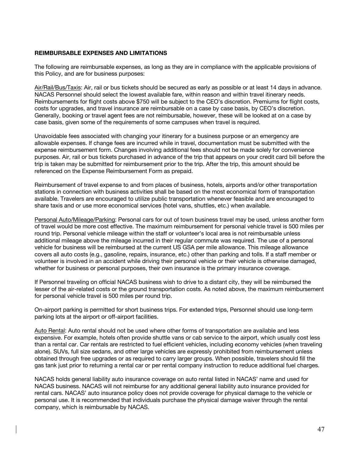# **REIMBURSABLE EXPENSES AND LIMITATIONS**

The following are reimbursable expenses, as long as they are in compliance with the applicable provisions of this Policy, and are for business purposes:

Air/Rail/Bus/Taxis: Air, rail or bus tickets should be secured as early as possible or at least 14 days in advance. NACAS Personnel should select the lowest available fare, within reason and within travel itinerary needs. Reimbursements for flight costs above \$750 will be subject to the CEO's discretion. Premiums for flight costs, costs for upgrades, and travel insurance are reimbursable on a case by case basis, by CEO's discretion. Generally, booking or travel agent fees are not reimbursable, however, these will be looked at on a case by case basis, given some of the requirements of some campuses when travel is required.

Unavoidable fees associated with changing your itinerary for a business purpose or an emergency are allowable expenses. If change fees are incurred while in travel, documentation must be submitted with the expense reimbursement form. Changes involving additional fees should not be made solely for convenience purposes. Air, rail or bus tickets purchased in advance of the trip that appears on your credit card bill before the trip is taken may be submitted for reimbursement prior to the trip. After the trip, this amount should be referenced on the Expense Reimbursement Form as prepaid.

Reimbursement of travel expense to and from places of business, hotels, airports and/or other transportation stations in connection with business activities shall be based on the most economical form of transportation available. Travelers are encouraged to utilize public transportation whenever feasible and are encouraged to share taxis and or use more economical services (hotel vans, shuttles, etc.) when available.

Personal Auto/Mileage/Parking: Personal cars for out of town business travel may be used, unless another form of travel would be more cost effective. The maximum reimbursement for personal vehicle travel is 500 miles per round trip. Personal vehicle mileage within the staff or volunteer's local area is not reimbursable unless additional mileage above the mileage incurred in their regular commute was required. The use of a personal vehicle for business will be reimbursed at the current US GSA per mile allowance. This mileage allowance covers all auto costs (e.g., gasoline, repairs, insurance, etc.) other than parking and tolls. If a staff member or volunteer is involved in an accident while driving their personal vehicle or their vehicle is otherwise damaged, whether for business or personal purposes, their own insurance is the primary insurance coverage.

If Personnel traveling on official NACAS business wish to drive to a distant city, they will be reimbursed the lesser of the air-related costs or the ground transportation costs. As noted above, the maximum reimbursement for personal vehicle travel is 500 miles per round trip.

On-airport parking is permitted for short business trips. For extended trips, Personnel should use long-term parking lots at the airport or off-airport facilities.

Auto Rental: Auto rental should not be used where other forms of transportation are available and less expensive. For example, hotels often provide shuttle vans or cab service to the airport, which usually cost less than a rental car. Car rentals are restricted to fuel efficient vehicles, including economy vehicles (when traveling alone). SUVs, full size sedans, and other large vehicles are expressly prohibited from reimbursement unless obtained through free upgrades or as required to carry larger groups. When possible, travelers should fill the gas tank just prior to returning a rental car or per rental company instruction to reduce additional fuel charges.

NACAS holds general liability auto insurance coverage on auto rental listed in NACAS' name and used for NACAS business. NACAS will not reimburse for any additional general liability auto insurance provided for rental cars. NACAS' auto insurance policy does not provide coverage for physical damage to the vehicle or personal use. It is recommended that individuals purchase the physical damage waiver through the rental company, which is reimbursable by NACAS.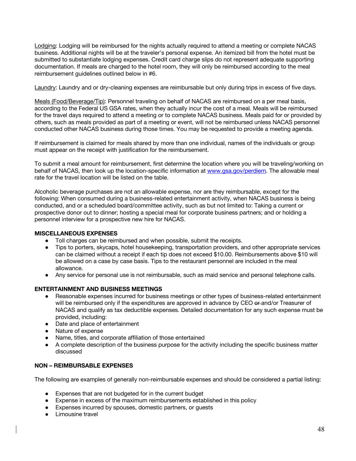Lodging: Lodging will be reimbursed for the nights actually required to attend a meeting or complete NACAS business. Additional nights will be at the traveler's personal expense. An itemized bill from the hotel must be submitted to substantiate lodging expenses. Credit card charge slips do not represent adequate supporting documentation. If meals are charged to the hotel room, they will only be reimbursed according to the meal reimbursement guidelines outlined below in #6.

Laundry: Laundry and or dry-cleaning expenses are reimbursable but only during trips in excess of five days.

Meals (Food/Beverage/Tip): Personnel traveling on behalf of NACAS are reimbursed on a per meal basis, according to the Federal US GSA rates, when they actually incur the cost of a meal. Meals will be reimbursed for the travel days required to attend a meeting or to complete NACAS business. Meals paid for or provided by others, such as meals provided as part of a meeting or event, will not be reimbursed unless NACAS personnel conducted other NACAS business during those times. You may be requested to provide a meeting agenda.

If reimbursement is claimed for meals shared by more than one individual, names of the individuals or group must appear on the receipt with justification for the reimbursement.

To submit a meal amount for reimbursement, first determine the location where you will be traveling/working on behalf of NACAS, then look up the location-specific information at www.gsa.gov/perdiem. The allowable meal rate for the travel location will be listed on the table.

Alcoholic beverage purchases are not an allowable expense, nor are they reimbursable, except for the following: When consumed during a business-related entertainment activity, when NACAS business is being conducted, and or a scheduled board/committee activity, such as but not limited to: Taking a current or prospective donor out to dinner; hosting a special meal for corporate business partners; and or holding a personnel interview for a prospective new hire for NACAS.

# **MISCELLANEOUS EXPENSES**

- Toll charges can be reimbursed and when possible, submit the receipts.
- Tips to porters, skycaps, hotel housekeeping, transportation providers, and other appropriate services can be claimed without a receipt if each tip does not exceed \$10.00. Reimbursements above \$10 will be allowed on a case by case basis. Tips to the restaurant personnel are included in the meal allowance.
- Any service for personal use is not reimbursable, such as maid service and personal telephone calls.

# **ENTERTAINMENT AND BUSINESS MEETINGS**

- Reasonable expenses incurred for business meetings or other types of business-related entertainment will be reimbursed only if the expenditures are approved in advance by CEO or and/or Treasurer of NACAS and qualify as tax deductible expenses. Detailed documentation for any such expense must be provided, including:
- Date and place of entertainment
- Nature of expense
- Name, titles, and corporate affiliation of those entertained
- A complete description of the business purpose for the activity including the specific business matter discussed

### **NON – REIMBURSABLE EXPENSES**

The following are examples of generally non-reimbursable expenses and should be considered a partial listing:

- Expenses that are not budgeted for in the current budget
- Expense in excess of the maximum reimbursements established in this policy
- Expenses incurred by spouses, domestic partners, or guests
- Limousine travel